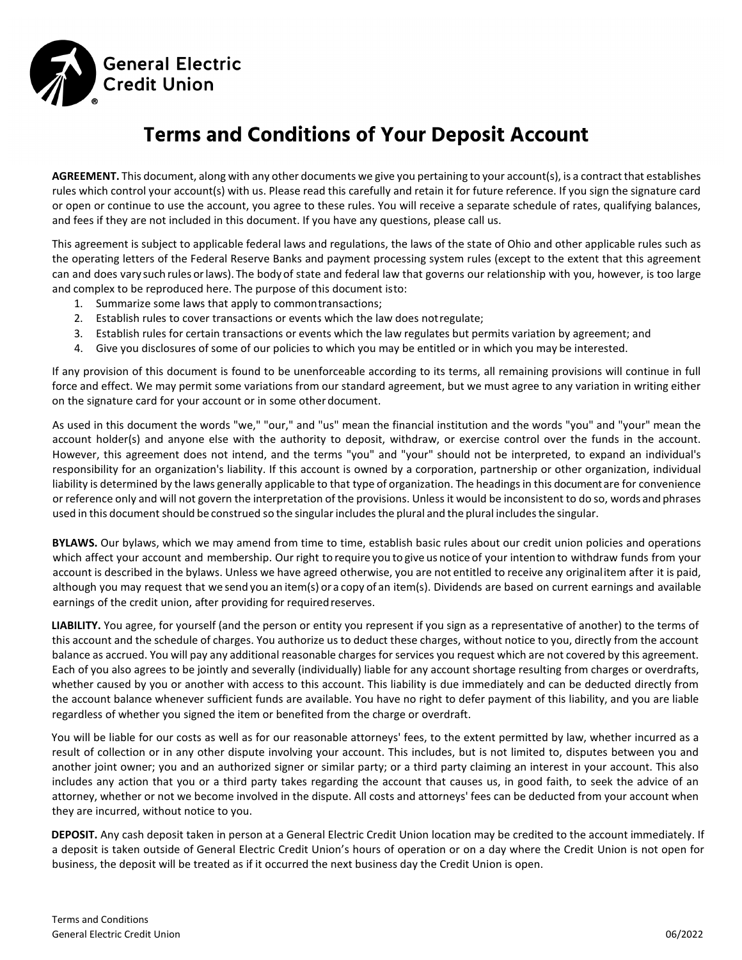

# **Terms and Conditions of Your Deposit Account**

**AGREEMENT.** This document, along with any other documents we give you pertaining to your account(s), is a contract that establishes rules which control your account(s) with us. Please read this carefully and retain it for future reference. If you sign the signature card or open or continue to use the account, you agree to these rules. You will receive a separate schedule of rates, qualifying balances, and fees if they are not included in this document. If you have any questions, please call us.

This agreement is subject to applicable federal laws and regulations, the laws of the state of Ohio and other applicable rules such as the operating letters of the Federal Reserve Banks and payment processing system rules (except to the extent that this agreement can and does vary such rules orlaws). The body of state and federal law that governs our relationship with you, however, is too large and complex to be reproduced here. The purpose of this document isto:

- 1. Summarize some laws that apply to commontransactions;
- 2. Establish rules to cover transactions or events which the law does notregulate;
- 3. Establish rules for certain transactions or events which the law regulates but permits variation by agreement; and
- 4. Give you disclosures of some of our policies to which you may be entitled or in which you may be interested.

If any provision of this document is found to be unenforceable according to its terms, all remaining provisions will continue in full force and effect. We may permit some variations from our standard agreement, but we must agree to any variation in writing either on the signature card for your account or in some other document.

As used in this document the words "we," "our," and "us" mean the financial institution and the words "you" and "your" mean the account holder(s) and anyone else with the authority to deposit, withdraw, or exercise control over the funds in the account. However, this agreement does not intend, and the terms "you" and "your" should not be interpreted, to expand an individual's responsibility for an organization's liability. If this account is owned by a corporation, partnership or other organization, individual liability is determined by the laws generally applicable to that type of organization. The headings in this document are for convenience or reference only and will not govern the interpretation of the provisions. Unless it would be inconsistent to do so, words and phrases used in this document should be construed so the singular includes the plural and the plural includes the singular.

**BYLAWS.** Our bylaws, which we may amend from time to time, establish basic rules about our credit union policies and operations which affect your account and membership. Our right to require you to give us notice of your intention to withdraw funds from your account is described in the bylaws. Unless we have agreed otherwise, you are not entitled to receive any originalitem after it is paid, although you may request that we send you an item(s) or a copy of an item(s). Dividends are based on current earnings and available earnings of the credit union, after providing for required reserves.

LIABILITY. You agree, for yourself (and the person or entity you represent if you sign as a representative of another) to the terms of this account and the schedule of charges. You authorize us to deduct these charges, without notice to you, directly from the account balance as accrued. You will pay any additional reasonable charges for services you request which are not covered by this agreement. Each of you also agrees to be jointly and severally (individually) liable for any account shortage resulting from charges or overdrafts, whether caused by you or another with access to this account. This liability is due immediately and can be deducted directly from the account balance whenever sufficient funds are available. You have no right to defer payment of this liability, and you are liable regardless of whether you signed the item or benefited from the charge or overdraft.

You will be liable for our costs as well as for our reasonable attorneys' fees, to the extent permitted by law, whether incurred as a result of collection or in any other dispute involving your account. This includes, but is not limited to, disputes between you and another joint owner; you and an authorized signer or similar party; or a third party claiming an interest in your account. This also includes any action that you or a third party takes regarding the account that causes us, in good faith, to seek the advice of an attorney, whether or not we become involved in the dispute. All costs and attorneys' fees can be deducted from your account when they are incurred, without notice to you.

**DEPOSIT.** Any cash deposit taken in person at a General Electric Credit Union location may be credited to the account immediately. If a deposit is taken outside of General Electric Credit Union's hours of operation or on a day where the Credit Union is not open for business, the deposit will be treated as if it occurred the next business day the Credit Union is open.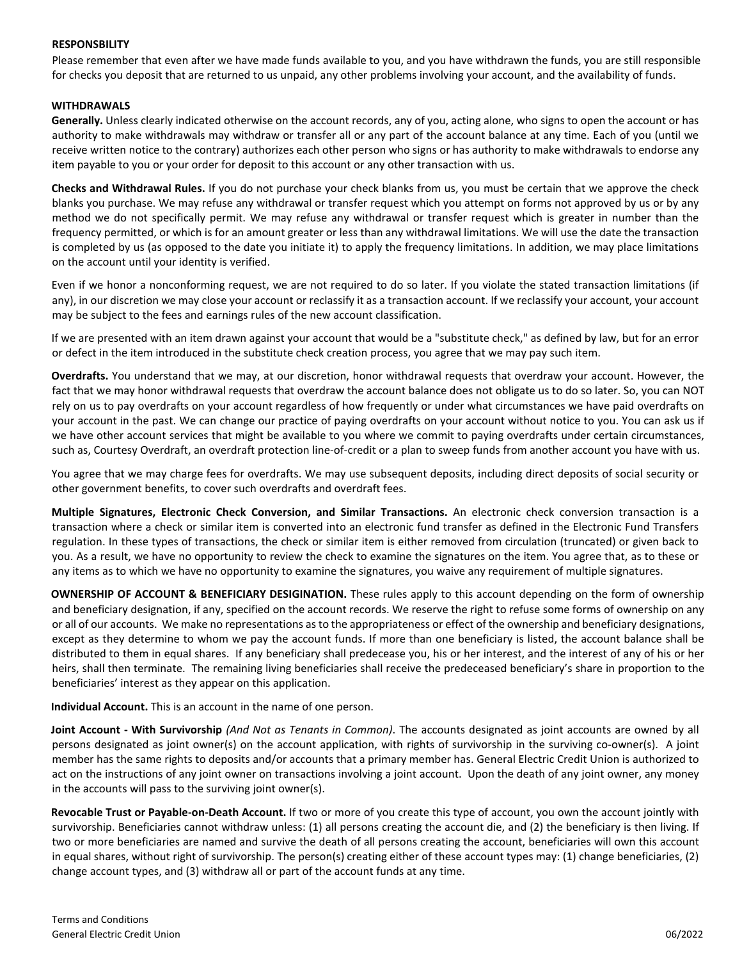#### **RESPONSBILITY**

Please remember that even after we have made funds available to you, and you have withdrawn the funds, you are still responsible for checks you deposit that are returned to us unpaid, any other problems involving your account, and the availability of funds.

#### **WITHDRAWALS**

**Generally.** Unless clearly indicated otherwise on the account records, any of you, acting alone, who signs to open the account or has authority to make withdrawals may withdraw or transfer all or any part of the account balance at any time. Each of you (until we receive written notice to the contrary) authorizes each other person who signs or has authority to make withdrawals to endorse any item payable to you or your order for deposit to this account or any other transaction with us.

**Checks and Withdrawal Rules.** If you do not purchase your check blanks from us, you must be certain that we approve the check blanks you purchase. We may refuse any withdrawal or transfer request which you attempt on forms not approved by us or by any method we do not specifically permit. We may refuse any withdrawal or transfer request which is greater in number than the frequency permitted, or which is for an amount greater or less than any withdrawal limitations. We will use the date the transaction is completed by us (as opposed to the date you initiate it) to apply the frequency limitations. In addition, we may place limitations on the account until your identity is verified.

Even if we honor a nonconforming request, we are not required to do so later. If you violate the stated transaction limitations (if any), in our discretion we may close your account or reclassify it as a transaction account. If we reclassify your account, your account may be subject to the fees and earnings rules of the new account classification.

If we are presented with an item drawn against your account that would be a "substitute check," as defined by law, but for an error or defect in the item introduced in the substitute check creation process, you agree that we may pay such item.

**Overdrafts.** You understand that we may, at our discretion, honor withdrawal requests that overdraw your account. However, the fact that we may honor withdrawal requests that overdraw the account balance does not obligate us to do so later. So, you can NOT rely on us to pay overdrafts on your account regardless of how frequently or under what circumstances we have paid overdrafts on your account in the past. We can change our practice of paying overdrafts on your account without notice to you. You can ask us if we have other account services that might be available to you where we commit to paying overdrafts under certain circumstances, such as, Courtesy Overdraft, an overdraft protection line‐of‐credit or a plan to sweep funds from another account you have with us.

You agree that we may charge fees for overdrafts. We may use subsequent deposits, including direct deposits of social security or other government benefits, to cover such overdrafts and overdraft fees.

**Multiple Signatures, Electronic Check Conversion, and Similar Transactions.** An electronic check conversion transaction is a transaction where a check or similar item is converted into an electronic fund transfer as defined in the Electronic Fund Transfers regulation. In these types of transactions, the check or similar item is either removed from circulation (truncated) or given back to you. As a result, we have no opportunity to review the check to examine the signatures on the item. You agree that, as to these or any items as to which we have no opportunity to examine the signatures, you waive any requirement of multiple signatures.

**OWNERSHIP OF ACCOUNT & BENEFICIARY DESIGINATION.** These rules apply to this account depending on the form of ownership and beneficiary designation, if any, specified on the account records. We reserve the right to refuse some forms of ownership on any or all of our accounts. We make no representations as to the appropriateness or effect of the ownership and beneficiary designations, except as they determine to whom we pay the account funds. If more than one beneficiary is listed, the account balance shall be distributed to them in equal shares. If any beneficiary shall predecease you, his or her interest, and the interest of any of his or her heirs, shall then terminate. The remaining living beneficiaries shall receive the predeceased beneficiary's share in proportion to the beneficiaries' interest as they appear on this application.

**Individual Account.** This is an account in the name of one person.

**Joint Account ‐ With Survivorship** *(And Not as Tenants in Common)*. The accounts designated as joint accounts are owned by all persons designated as joint owner(s) on the account application, with rights of survivorship in the surviving co-owner(s). A joint member has the same rights to deposits and/or accounts that a primary member has. General Electric Credit Union is authorized to act on the instructions of any joint owner on transactions involving a joint account. Upon the death of any joint owner, any money in the accounts will pass to the surviving joint owner(s).

**Revocable Trust or Payable‐on‐Death Account.** If two or more of you create this type of account, you own the account jointly with survivorship. Beneficiaries cannot withdraw unless: (1) all persons creating the account die, and (2) the beneficiary is then living. If two or more beneficiaries are named and survive the death of all persons creating the account, beneficiaries will own this account in equal shares, without right of survivorship. The person(s) creating either of these account types may: (1) change beneficiaries, (2) change account types, and (3) withdraw all or part of the account funds at any time.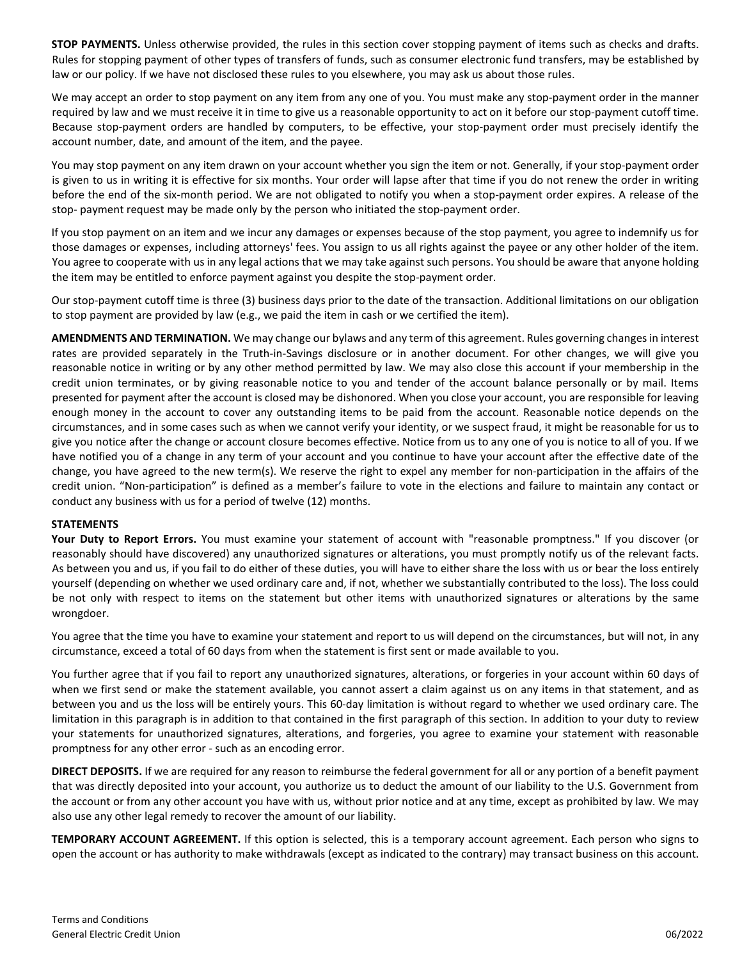**STOP PAYMENTS.** Unless otherwise provided, the rules in this section cover stopping payment of items such as checks and drafts. Rules for stopping payment of other types of transfers of funds, such as consumer electronic fund transfers, may be established by law or our policy. If we have not disclosed these rules to you elsewhere, you may ask us about those rules.

We may accept an order to stop payment on any item from any one of you. You must make any stop‐payment order in the manner required by law and we must receive it in time to give us a reasonable opportunity to act on it before our stop-payment cutoff time. Because stop-payment orders are handled by computers, to be effective, your stop-payment order must precisely identify the account number, date, and amount of the item, and the payee.

You may stop payment on any item drawn on your account whether you sign the item or not. Generally, if your stop‐payment order is given to us in writing it is effective for six months. Your order will lapse after that time if you do not renew the order in writing before the end of the six‐month period. We are not obligated to notify you when a stop‐payment order expires. A release of the stop- payment request may be made only by the person who initiated the stop-payment order.

If you stop payment on an item and we incur any damages or expenses because of the stop payment, you agree to indemnify us for those damages or expenses, including attorneys' fees. You assign to us all rights against the payee or any other holder of the item. You agree to cooperate with us in any legal actions that we may take against such persons. You should be aware that anyone holding the item may be entitled to enforce payment against you despite the stop‐payment order.

Our stop‐payment cutoff time is three (3) business days prior to the date of the transaction. Additional limitations on our obligation to stop payment are provided by law (e.g., we paid the item in cash or we certified the item).

**AMENDMENTS AND TERMINATION.** We may change our bylaws and any term of this agreement. Rules governing changes in interest rates are provided separately in the Truth‐in‐Savings disclosure or in another document. For other changes, we will give you reasonable notice in writing or by any other method permitted by law. We may also close this account if your membership in the credit union terminates, or by giving reasonable notice to you and tender of the account balance personally or by mail. Items presented for payment after the account is closed may be dishonored. When you close your account, you are responsible for leaving enough money in the account to cover any outstanding items to be paid from the account. Reasonable notice depends on the circumstances, and in some cases such as when we cannot verify your identity, or we suspect fraud, it might be reasonable for us to give you notice after the change or account closure becomes effective. Notice from us to any one of you is notice to all of you. If we have notified you of a change in any term of your account and you continue to have your account after the effective date of the change, you have agreed to the new term(s). We reserve the right to expel any member for non‐participation in the affairs of the credit union. "Non‐participation" is defined as a member's failure to vote in the elections and failure to maintain any contact or conduct any business with us for a period of twelve (12) months.

#### **STATEMENTS**

**Your Duty to Report Errors.** You must examine your statement of account with "reasonable promptness." If you discover (or reasonably should have discovered) any unauthorized signatures or alterations, you must promptly notify us of the relevant facts. As between you and us, if you fail to do either of these duties, you will have to either share the loss with us or bear the loss entirely yourself (depending on whether we used ordinary care and, if not, whether we substantially contributed to the loss). The loss could be not only with respect to items on the statement but other items with unauthorized signatures or alterations by the same wrongdoer.

You agree that the time you have to examine your statement and report to us will depend on the circumstances, but will not, in any circumstance, exceed a total of 60 days from when the statement is first sent or made available to you.

You further agree that if you fail to report any unauthorized signatures, alterations, or forgeries in your account within 60 days of when we first send or make the statement available, you cannot assert a claim against us on any items in that statement, and as between you and us the loss will be entirely yours. This 60‐day limitation is without regard to whether we used ordinary care. The limitation in this paragraph is in addition to that contained in the first paragraph of this section. In addition to your duty to review your statements for unauthorized signatures, alterations, and forgeries, you agree to examine your statement with reasonable promptness for any other error ‐ such as an encoding error.

**DIRECT DEPOSITS.** If we are required for any reason to reimburse the federal government for all or any portion of a benefit payment that was directly deposited into your account, you authorize us to deduct the amount of our liability to the U.S. Government from the account or from any other account you have with us, without prior notice and at any time, except as prohibited by law. We may also use any other legal remedy to recover the amount of our liability.

**TEMPORARY ACCOUNT AGREEMENT.** If this option is selected, this is a temporary account agreement. Each person who signs to open the account or has authority to make withdrawals (except as indicated to the contrary) may transact business on this account.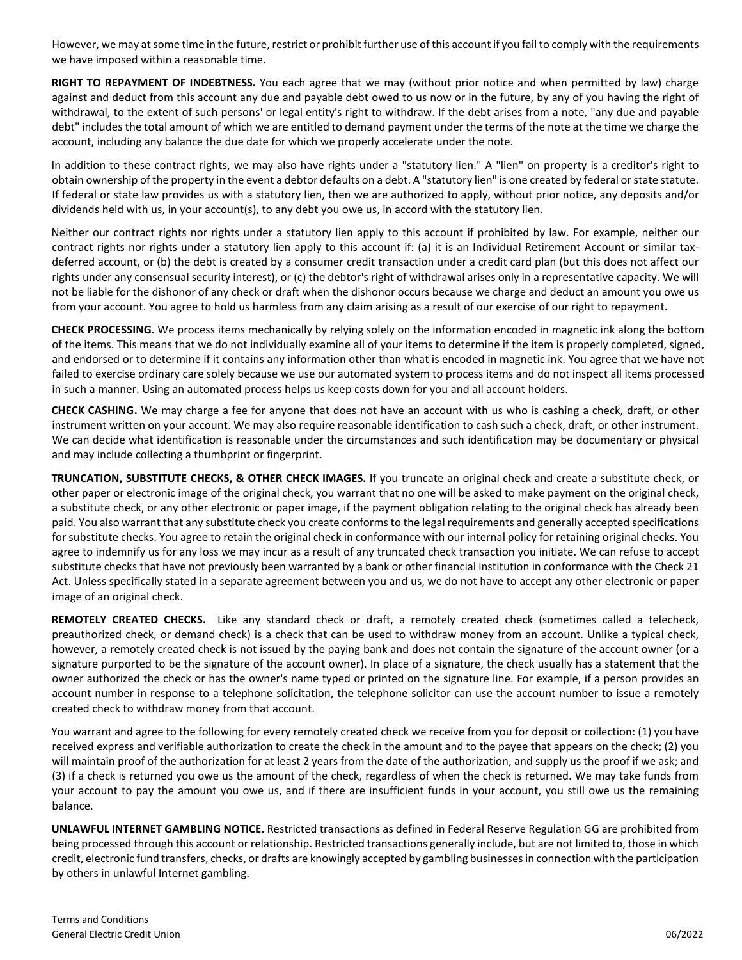However, we may at some time in the future, restrict or prohibit further use of this account if you fail to comply with the requirements we have imposed within a reasonable time.

**RIGHT TO REPAYMENT OF INDEBTNESS.** You each agree that we may (without prior notice and when permitted by law) charge against and deduct from this account any due and payable debt owed to us now or in the future, by any of you having the right of withdrawal, to the extent of such persons' or legal entity's right to withdraw. If the debt arises from a note, "any due and payable debt" includes the total amount of which we are entitled to demand payment under the terms of the note at the time we charge the account, including any balance the due date for which we properly accelerate under the note.

In addition to these contract rights, we may also have rights under a "statutory lien." A "lien" on property is a creditor's right to obtain ownership of the property in the event a debtor defaults on a debt. A "statutory lien" is one created by federal or state statute. If federal or state law provides us with a statutory lien, then we are authorized to apply, without prior notice, any deposits and/or dividends held with us, in your account(s), to any debt you owe us, in accord with the statutory lien.

Neither our contract rights nor rights under a statutory lien apply to this account if prohibited by law. For example, neither our contract rights nor rights under a statutory lien apply to this account if: (a) it is an Individual Retirement Account or similar tax‐ deferred account, or (b) the debt is created by a consumer credit transaction under a credit card plan (but this does not affect our rights under any consensual security interest), or (c) the debtor's right of withdrawal arises only in a representative capacity. We will not be liable for the dishonor of any check or draft when the dishonor occurs because we charge and deduct an amount you owe us from your account. You agree to hold us harmless from any claim arising as a result of our exercise of our right to repayment.

**CHECK PROCESSING.** We process items mechanically by relying solely on the information encoded in magnetic ink along the bottom of the items. This means that we do not individually examine all of your items to determine if the item is properly completed, signed, and endorsed or to determine if it contains any information other than what is encoded in magnetic ink. You agree that we have not failed to exercise ordinary care solely because we use our automated system to process items and do not inspect all items processed in such a manner. Using an automated process helps us keep costs down for you and all account holders.

**CHECK CASHING.** We may charge a fee for anyone that does not have an account with us who is cashing a check, draft, or other instrument written on your account. We may also require reasonable identification to cash such a check, draft, or other instrument. We can decide what identification is reasonable under the circumstances and such identification may be documentary or physical and may include collecting a thumbprint or fingerprint.

**TRUNCATION, SUBSTITUTE CHECKS, & OTHER CHECK IMAGES.** If you truncate an original check and create a substitute check, or other paper or electronic image of the original check, you warrant that no one will be asked to make payment on the original check, a substitute check, or any other electronic or paper image, if the payment obligation relating to the original check has already been paid. You also warrant that any substitute check you create conforms to the legal requirements and generally accepted specifications for substitute checks. You agree to retain the original check in conformance with our internal policy for retaining original checks. You agree to indemnify us for any loss we may incur as a result of any truncated check transaction you initiate. We can refuse to accept substitute checks that have not previously been warranted by a bank or other financial institution in conformance with the Check 21 Act. Unless specifically stated in a separate agreement between you and us, we do not have to accept any other electronic or paper image of an original check.

**REMOTELY CREATED CHECKS.** Like any standard check or draft, a remotely created check (sometimes called a telecheck, preauthorized check, or demand check) is a check that can be used to withdraw money from an account. Unlike a typical check, however, a remotely created check is not issued by the paying bank and does not contain the signature of the account owner (or a signature purported to be the signature of the account owner). In place of a signature, the check usually has a statement that the owner authorized the check or has the owner's name typed or printed on the signature line. For example, if a person provides an account number in response to a telephone solicitation, the telephone solicitor can use the account number to issue a remotely created check to withdraw money from that account.

You warrant and agree to the following for every remotely created check we receive from you for deposit or collection: (1) you have received express and verifiable authorization to create the check in the amount and to the payee that appears on the check; (2) you will maintain proof of the authorization for at least 2 years from the date of the authorization, and supply us the proof if we ask; and (3) if a check is returned you owe us the amount of the check, regardless of when the check is returned. We may take funds from your account to pay the amount you owe us, and if there are insufficient funds in your account, you still owe us the remaining balance.

**UNLAWFUL INTERNET GAMBLING NOTICE.** Restricted transactions as defined in Federal Reserve Regulation GG are prohibited from being processed through this account or relationship. Restricted transactions generally include, but are not limited to, those in which credit, electronic fund transfers, checks, or drafts are knowingly accepted by gambling businesses in connection with the participation by others in unlawful Internet gambling.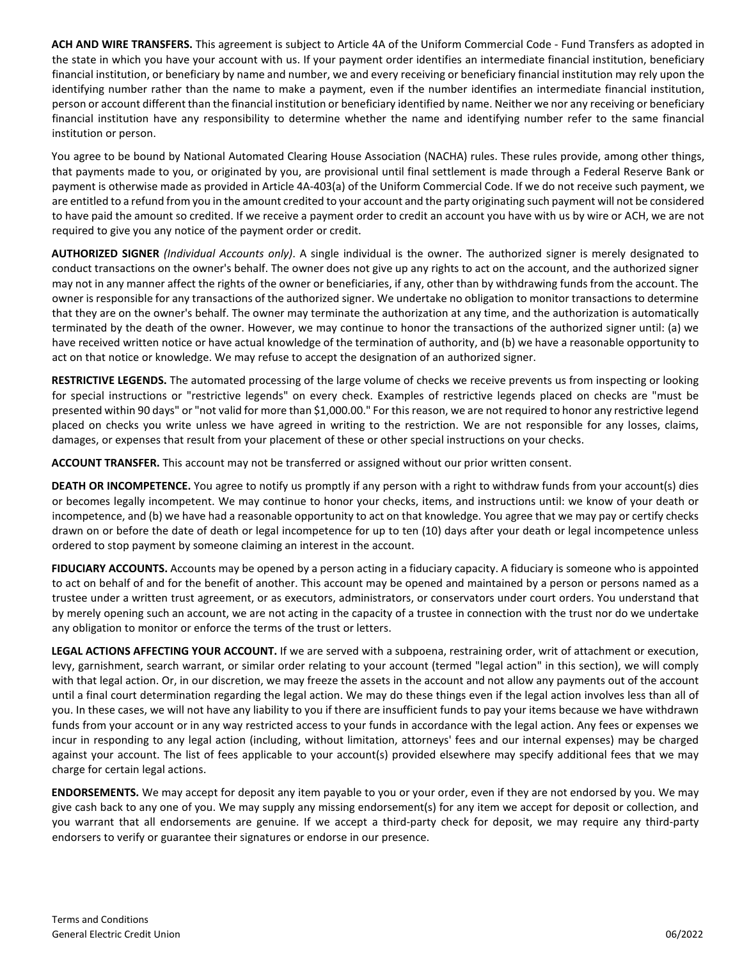**ACH AND WIRE TRANSFERS.** This agreement is subject to Article 4A of the Uniform Commercial Code ‐ Fund Transfers as adopted in the state in which you have your account with us. If your payment order identifies an intermediate financial institution, beneficiary financial institution, or beneficiary by name and number, we and every receiving or beneficiary financial institution may rely upon the identifying number rather than the name to make a payment, even if the number identifies an intermediate financial institution, person or account different than the financial institution or beneficiary identified by name. Neither we nor any receiving or beneficiary financial institution have any responsibility to determine whether the name and identifying number refer to the same financial institution or person.

You agree to be bound by National Automated Clearing House Association (NACHA) rules. These rules provide, among other things, that payments made to you, or originated by you, are provisional until final settlement is made through a Federal Reserve Bank or payment is otherwise made as provided in Article 4A‐403(a) of the Uniform Commercial Code. If we do not receive such payment, we are entitled to a refund from you in the amount credited to your account and the party originating such payment will not be considered to have paid the amount so credited. If we receive a payment order to credit an account you have with us by wire or ACH, we are not required to give you any notice of the payment order or credit.

**AUTHORIZED SIGNER** *(Individual Accounts only)*. A single individual is the owner. The authorized signer is merely designated to conduct transactions on the owner's behalf. The owner does not give up any rights to act on the account, and the authorized signer may not in any manner affect the rights of the owner or beneficiaries, if any, other than by withdrawing funds from the account. The owner is responsible for any transactions of the authorized signer. We undertake no obligation to monitor transactions to determine that they are on the owner's behalf. The owner may terminate the authorization at any time, and the authorization is automatically terminated by the death of the owner. However, we may continue to honor the transactions of the authorized signer until: (a) we have received written notice or have actual knowledge of the termination of authority, and (b) we have a reasonable opportunity to act on that notice or knowledge. We may refuse to accept the designation of an authorized signer.

**RESTRICTIVE LEGENDS.** The automated processing of the large volume of checks we receive prevents us from inspecting or looking for special instructions or "restrictive legends" on every check. Examples of restrictive legends placed on checks are "must be presented within 90 days" or "not valid for more than \$1,000.00." For this reason, we are not required to honor any restrictive legend placed on checks you write unless we have agreed in writing to the restriction. We are not responsible for any losses, claims, damages, or expenses that result from your placement of these or other special instructions on your checks.

**ACCOUNT TRANSFER.** This account may not be transferred or assigned without our prior written consent.

**DEATH OR INCOMPETENCE.** You agree to notify us promptly if any person with a right to withdraw funds from your account(s) dies or becomes legally incompetent. We may continue to honor your checks, items, and instructions until: we know of your death or incompetence, and (b) we have had a reasonable opportunity to act on that knowledge. You agree that we may pay or certify checks drawn on or before the date of death or legal incompetence for up to ten (10) days after your death or legal incompetence unless ordered to stop payment by someone claiming an interest in the account.

**FIDUCIARY ACCOUNTS.** Accounts may be opened by a person acting in a fiduciary capacity. A fiduciary is someone who is appointed to act on behalf of and for the benefit of another. This account may be opened and maintained by a person or persons named as a trustee under a written trust agreement, or as executors, administrators, or conservators under court orders. You understand that by merely opening such an account, we are not acting in the capacity of a trustee in connection with the trust nor do we undertake any obligation to monitor or enforce the terms of the trust or letters.

**LEGAL ACTIONS AFFECTING YOUR ACCOUNT.** If we are served with a subpoena, restraining order, writ of attachment or execution, levy, garnishment, search warrant, or similar order relating to your account (termed "legal action" in this section), we will comply with that legal action. Or, in our discretion, we may freeze the assets in the account and not allow any payments out of the account until a final court determination regarding the legal action. We may do these things even if the legal action involves less than all of you. In these cases, we will not have any liability to you if there are insufficient funds to pay your items because we have withdrawn funds from your account or in any way restricted access to your funds in accordance with the legal action. Any fees or expenses we incur in responding to any legal action (including, without limitation, attorneys' fees and our internal expenses) may be charged against your account. The list of fees applicable to your account(s) provided elsewhere may specify additional fees that we may charge for certain legal actions.

**ENDORSEMENTS.** We may accept for deposit any item payable to you or your order, even if they are not endorsed by you. We may give cash back to any one of you. We may supply any missing endorsement(s) for any item we accept for deposit or collection, and you warrant that all endorsements are genuine. If we accept a third-party check for deposit, we may require any third-party endorsers to verify or guarantee their signatures or endorse in our presence.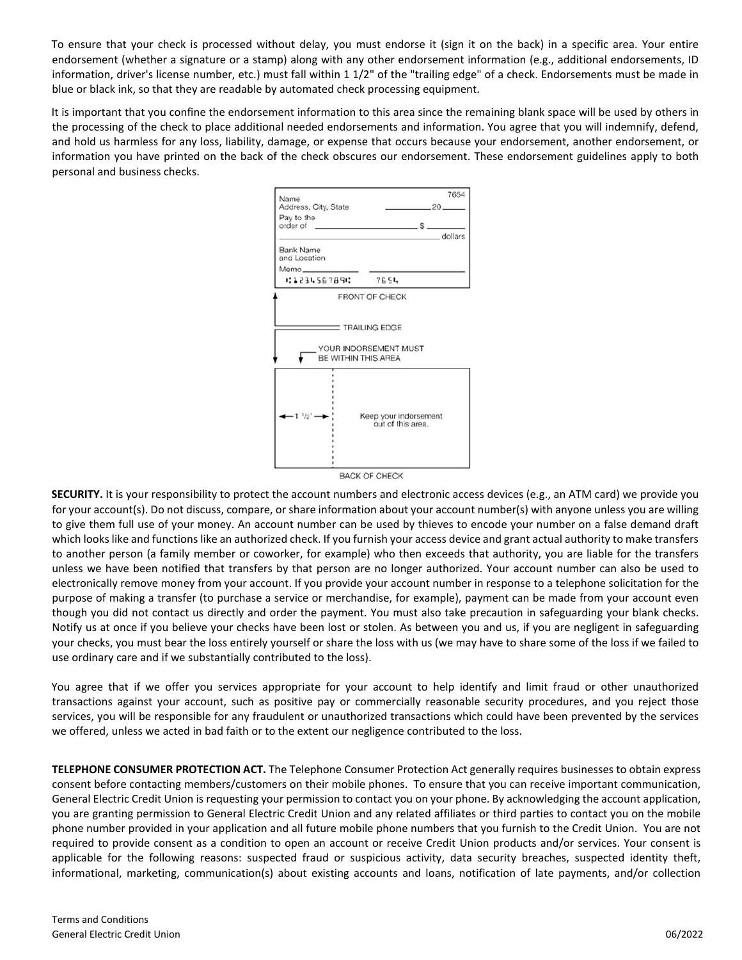To ensure that your check is processed without delay, you must endorse it (sign it on the back) in a specific area. Your entire endorsement (whether a signature or a stamp) along with any other endorsement information (e.g., additional endorsements, ID information, driver's license number, etc.) must fall within 1 1/2" of the "trailing edge" of a check. Endorsements must be made in blue or black ink, so that they are readable by automated check processing equipment.

It is important that you confine the endorsement information to this area since the remaining blank space will be used by others in the processing of the check to place additional needed endorsements and information. You agree that you will indemnify, defend, and hold us harmless for any loss, liability, damage, or expense that occurs because your endorsement, another endorsement, or information you have printed on the back of the check obscures our endorsement. These endorsement guidelines apply to both personal and business checks.



**SECURITY.** It is your responsibility to protect the account numbers and electronic access devices (e.g., an ATM card) we provide you for your account(s). Do not discuss, compare, or share information about your account number(s) with anyone unless you are willing to give them full use of your money. An account number can be used by thieves to encode your number on a false demand draft which looks like and functions like an authorized check. If you furnish your access device and grant actual authority to make transfers to another person (a family member or coworker, for example) who then exceeds that authority, you are liable for the transfers unless we have been notified that transfers by that person are no longer authorized. Your account number can also be used to electronically remove money from your account. If you provide your account number in response to a telephone solicitation for the purpose of making a transfer (to purchase a service or merchandise, for example), payment can be made from your account even though you did not contact us directly and order the payment. You must also take precaution in safeguarding your blank checks. Notify us at once if you believe your checks have been lost or stolen. As between you and us, if you are negligent in safeguarding your checks, you must bear the loss entirely yourself or share the loss with us (we may have to share some of the loss if we failed to use ordinary care and if we substantially contributed to the loss).

You agree that if we offer you services appropriate for your account to help identify and limit fraud or other unauthorized transactions against your account, such as positive pay or commercially reasonable security procedures, and you reject those services, you will be responsible for any fraudulent or unauthorized transactions which could have been prevented by the services we offered, unless we acted in bad faith or to the extent our negligence contributed to the loss.

**TELEPHONE CONSUMER PROTECTION ACT.** The Telephone Consumer Protection Act generally requires businesses to obtain express consent before contacting members/customers on their mobile phones. To ensure that you can receive important communication, General Electric Credit Union is requesting your permission to contact you on your phone. By acknowledging the account application, you are granting permission to General Electric Credit Union and any related affiliates or third parties to contact you on the mobile phone number provided in your application and all future mobile phone numbers that you furnish to the Credit Union. You are not required to provide consent as a condition to open an account or receive Credit Union products and/or services. Your consent is applicable for the following reasons: suspected fraud or suspicious activity, data security breaches, suspected identity theft, informational, marketing, communication(s) about existing accounts and loans, notification of late payments, and/or collection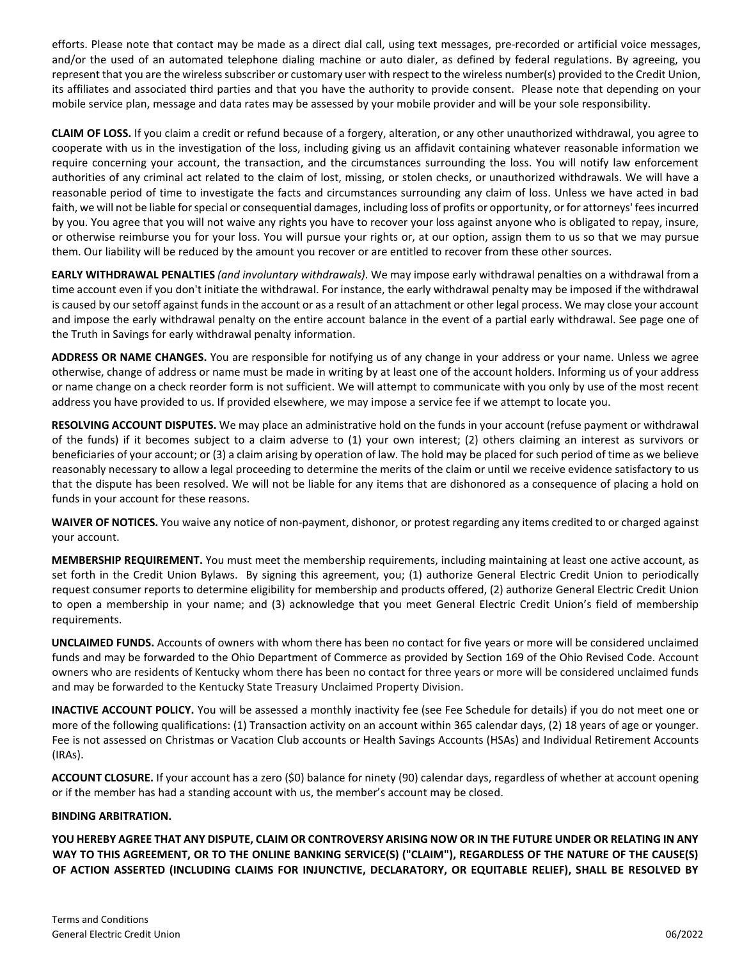efforts. Please note that contact may be made as a direct dial call, using text messages, pre-recorded or artificial voice messages, and/or the used of an automated telephone dialing machine or auto dialer, as defined by federal regulations. By agreeing, you represent that you are the wireless subscriber or customary user with respect to the wireless number(s) provided to the Credit Union, its affiliates and associated third parties and that you have the authority to provide consent. Please note that depending on your mobile service plan, message and data rates may be assessed by your mobile provider and will be your sole responsibility.

**CLAIM OF LOSS.** If you claim a credit or refund because of a forgery, alteration, or any other unauthorized withdrawal, you agree to cooperate with us in the investigation of the loss, including giving us an affidavit containing whatever reasonable information we require concerning your account, the transaction, and the circumstances surrounding the loss. You will notify law enforcement authorities of any criminal act related to the claim of lost, missing, or stolen checks, or unauthorized withdrawals. We will have a reasonable period of time to investigate the facts and circumstances surrounding any claim of loss. Unless we have acted in bad faith, we will not be liable for special or consequential damages, including loss of profits or opportunity, or for attorneys' fees incurred by you. You agree that you will not waive any rights you have to recover your loss against anyone who is obligated to repay, insure, or otherwise reimburse you for your loss. You will pursue your rights or, at our option, assign them to us so that we may pursue them. Our liability will be reduced by the amount you recover or are entitled to recover from these other sources.

**EARLY WITHDRAWAL PENALTIES** *(and involuntary withdrawals)*. We may impose early withdrawal penalties on a withdrawal from a time account even if you don't initiate the withdrawal. For instance, the early withdrawal penalty may be imposed if the withdrawal is caused by our setoff against funds in the account or as a result of an attachment or other legal process. We may close your account and impose the early withdrawal penalty on the entire account balance in the event of a partial early withdrawal. See page one of the Truth in Savings for early withdrawal penalty information.

**ADDRESS OR NAME CHANGES.** You are responsible for notifying us of any change in your address or your name. Unless we agree otherwise, change of address or name must be made in writing by at least one of the account holders. Informing us of your address or name change on a check reorder form is not sufficient. We will attempt to communicate with you only by use of the most recent address you have provided to us. If provided elsewhere, we may impose a service fee if we attempt to locate you.

**RESOLVING ACCOUNT DISPUTES.** We may place an administrative hold on the funds in your account (refuse payment or withdrawal of the funds) if it becomes subject to a claim adverse to (1) your own interest; (2) others claiming an interest as survivors or beneficiaries of your account; or (3) a claim arising by operation of law. The hold may be placed for such period of time as we believe reasonably necessary to allow a legal proceeding to determine the merits of the claim or until we receive evidence satisfactory to us that the dispute has been resolved. We will not be liable for any items that are dishonored as a consequence of placing a hold on funds in your account for these reasons.

**WAIVER OF NOTICES.** You waive any notice of non‐payment, dishonor, or protest regarding any items credited to or charged against your account.

**MEMBERSHIP REQUIREMENT.** You must meet the membership requirements, including maintaining at least one active account, as set forth in the Credit Union Bylaws. By signing this agreement, you; (1) authorize General Electric Credit Union to periodically request consumer reports to determine eligibility for membership and products offered, (2) authorize General Electric Credit Union to open a membership in your name; and (3) acknowledge that you meet General Electric Credit Union's field of membership requirements.

**UNCLAIMED FUNDS.** Accounts of owners with whom there has been no contact for five years or more will be considered unclaimed funds and may be forwarded to the Ohio Department of Commerce as provided by Section 169 of the Ohio Revised Code. Account owners who are residents of Kentucky whom there has been no contact for three years or more will be considered unclaimed funds and may be forwarded to the Kentucky State Treasury Unclaimed Property Division.

**INACTIVE ACCOUNT POLICY.** You will be assessed a monthly inactivity fee (see Fee Schedule for details) if you do not meet one or more of the following qualifications: (1) Transaction activity on an account within 365 calendar days, (2) 18 years of age or younger. Fee is not assessed on Christmas or Vacation Club accounts or Health Savings Accounts (HSAs) and Individual Retirement Accounts (IRAs).

**ACCOUNT CLOSURE.** If your account has a zero (\$0) balance for ninety (90) calendar days, regardless of whether at account opening or if the member has had a standing account with us, the member's account may be closed.

#### **BINDING ARBITRATION.**

**YOU HEREBY AGREE THAT ANY DISPUTE, CLAIM OR CONTROVERSY ARISING NOW OR IN THE FUTURE UNDER OR RELATING IN ANY WAY TO THIS AGREEMENT, OR TO THE ONLINE BANKING SERVICE(S) ("CLAIM"), REGARDLESS OF THE NATURE OF THE CAUSE(S) OF ACTION ASSERTED (INCLUDING CLAIMS FOR INJUNCTIVE, DECLARATORY, OR EQUITABLE RELIEF), SHALL BE RESOLVED BY**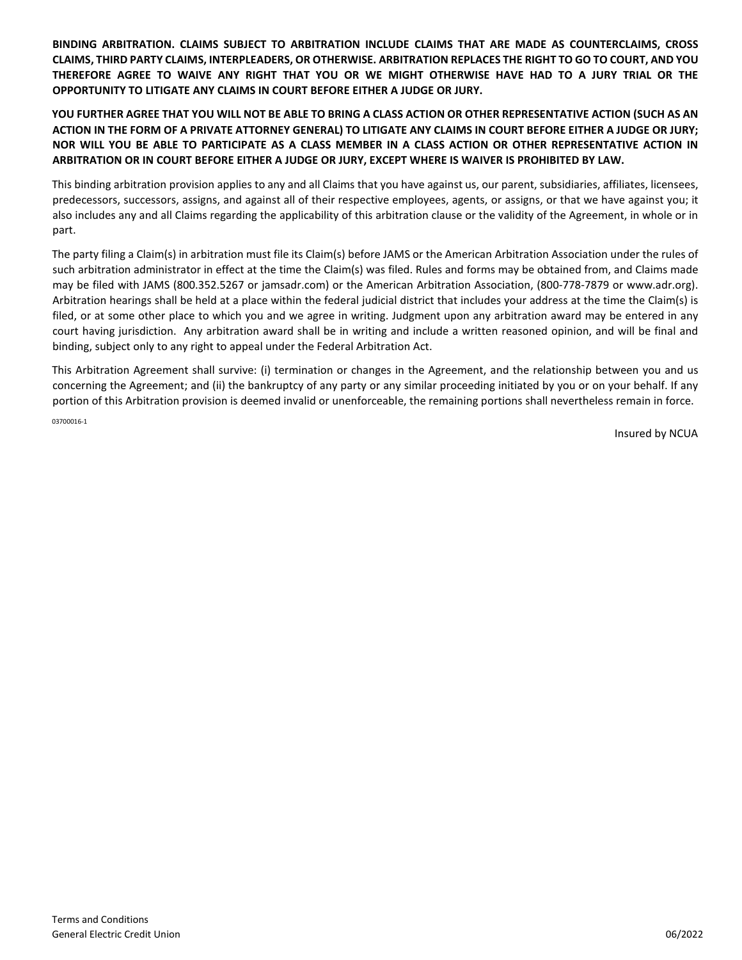**BINDING ARBITRATION. CLAIMS SUBJECT TO ARBITRATION INCLUDE CLAIMS THAT ARE MADE AS COUNTERCLAIMS, CROSS CLAIMS, THIRD PARTY CLAIMS, INTERPLEADERS, OR OTHERWISE. ARBITRATION REPLACES THE RIGHT TO GO TO COURT, AND YOU THEREFORE AGREE TO WAIVE ANY RIGHT THAT YOU OR WE MIGHT OTHERWISE HAVE HAD TO A JURY TRIAL OR THE OPPORTUNITY TO LITIGATE ANY CLAIMS IN COURT BEFORE EITHER A JUDGE OR JURY.** 

#### **YOU FURTHER AGREE THAT YOU WILL NOT BE ABLE TO BRING A CLASS ACTION OR OTHER REPRESENTATIVE ACTION (SUCH AS AN ACTION IN THE FORM OF A PRIVATE ATTORNEY GENERAL) TO LITIGATE ANY CLAIMS IN COURT BEFORE EITHER A JUDGE OR JURY; NOR WILL YOU BE ABLE TO PARTICIPATE AS A CLASS MEMBER IN A CLASS ACTION OR OTHER REPRESENTATIVE ACTION IN ARBITRATION OR IN COURT BEFORE EITHER A JUDGE OR JURY, EXCEPT WHERE IS WAIVER IS PROHIBITED BY LAW.**

This binding arbitration provision applies to any and all Claims that you have against us, our parent, subsidiaries, affiliates, licensees, predecessors, successors, assigns, and against all of their respective employees, agents, or assigns, or that we have against you; it also includes any and all Claims regarding the applicability of this arbitration clause or the validity of the Agreement, in whole or in part.

The party filing a Claim(s) in arbitration must file its Claim(s) before JAMS or the American Arbitration Association under the rules of such arbitration administrator in effect at the time the Claim(s) was filed. Rules and forms may be obtained from, and Claims made may be filed with JAMS (800.352.5267 or jamsadr.com) or the American Arbitration Association, (800-778-7879 or www.adr.org). Arbitration hearings shall be held at a place within the federal judicial district that includes your address at the time the Claim(s) is filed, or at some other place to which you and we agree in writing. Judgment upon any arbitration award may be entered in any court having jurisdiction. Any arbitration award shall be in writing and include a written reasoned opinion, and will be final and binding, subject only to any right to appeal under the Federal Arbitration Act.

This Arbitration Agreement shall survive: (i) termination or changes in the Agreement, and the relationship between you and us concerning the Agreement; and (ii) the bankruptcy of any party or any similar proceeding initiated by you or on your behalf. If any portion of this Arbitration provision is deemed invalid or unenforceable, the remaining portions shall nevertheless remain in force. 03700016-1

Insured by NCUA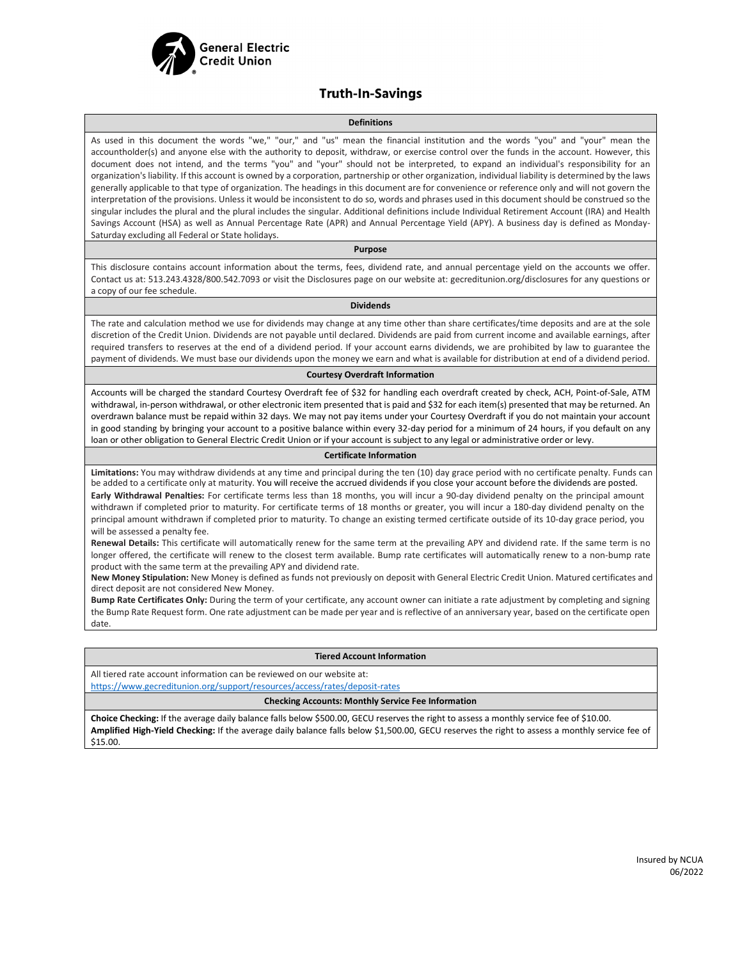

#### **Truth-In-Savings**

#### **Definitions**

As used in this document the words "we," "our," and "us" mean the financial institution and the words "you" and "your" mean the accountholder(s) and anyone else with the authority to deposit, withdraw, or exercise control over the funds in the account. However, this document does not intend, and the terms "you" and "your" should not be interpreted, to expand an individual's responsibility for an organization's liability. If this account is owned by a corporation, partnership or other organization, individual liability is determined by the laws generally applicable to that type of organization. The headings in this document are for convenience or reference only and will not govern the interpretation of the provisions. Unless it would be inconsistent to do so, words and phrases used in this document should be construed so the singular includes the plural and the plural includes the singular. Additional definitions include Individual Retirement Account (IRA) and Health Savings Account (HSA) as well as Annual Percentage Rate (APR) and Annual Percentage Yield (APY). A business day is defined as Monday-Saturday excluding all Federal or State holidays.

#### **Purpose**

This disclosure contains account information about the terms, fees, dividend rate, and annual percentage yield on the accounts we offer. Contact us at: 513.243.4328/800.542.7093 or visit the Disclosures page on our website at: gecreditunion.org/disclosures for any questions or a copy of our fee schedule.

#### **Dividends**

The rate and calculation method we use for dividends may change at any time other than share certificates/time deposits and are at the sole discretion of the Credit Union. Dividends are not payable until declared. Dividends are paid from current income and available earnings, after required transfers to reserves at the end of a dividend period. If your account earns dividends, we are prohibited by law to guarantee the payment of dividends. We must base our dividends upon the money we earn and what is available for distribution at end of a dividend period.

#### **Courtesy Overdraft Information**

Accounts will be charged the standard Courtesy Overdraft fee of \$32 for handling each overdraft created by check, ACH, Point-of-Sale, ATM withdrawal, in-person withdrawal, or other electronic item presented that is paid and \$32 for each item(s) presented that may be returned. An overdrawn balance must be repaid within 32 days. We may not pay items under your Courtesy Overdraft if you do not maintain your account in good standing by bringing your account to a positive balance within every 32-day period for a minimum of 24 hours, if you default on any loan or other obligation to General Electric Credit Union or if your account is subject to any legal or administrative order or levy.

#### **Certificate Information**

**Limitations:** You may withdraw dividends at any time and principal during the ten (10) day grace period with no certificate penalty. Funds can be added to a certificate only at maturity. You will receive the accrued dividends if you close your account before the dividends are posted. **Early Withdrawal Penalties:** For certificate terms less than 18 months, you will incur a 90-day dividend penalty on the principal amount withdrawn if completed prior to maturity. For certificate terms of 18 months or greater, you will incur a 180-day dividend penalty on the principal amount withdrawn if completed prior to maturity. To change an existing termed certificate outside of its 10-day grace period, you will be assessed a penalty fee.

**Renewal Details:** This certificate will automatically renew for the same term at the prevailing APY and dividend rate. If the same term is no longer offered, the certificate will renew to the closest term available. Bump rate certificates will automatically renew to a non-bump rate product with the same term at the prevailing APY and dividend rate.

**New Money Stipulation:** New Money is defined as funds not previously on deposit with General Electric Credit Union. Matured certificates and direct deposit are not considered New Money.

**Bump Rate Certificates Only:** During the term of your certificate, any account owner can initiate a rate adjustment by completing and signing the Bump Rate Request form. One rate adjustment can be made per year and is reflective of an anniversary year, based on the certificate open date.

#### **Tiered Account Information**

All tiered rate account information can be reviewed on our website at:

<https://www.gecreditunion.org/support/resources/access/rates/deposit-rates>

#### **Checking Accounts: Monthly Service Fee Information**

**Choice Checking:** If the average daily balance falls below \$500.00, GECU reserves the right to assess a monthly service fee of \$10.00. **Amplified High-Yield Checking:** If the average daily balance falls below \$1,500.00, GECU reserves the right to assess a monthly service fee of \$15.00.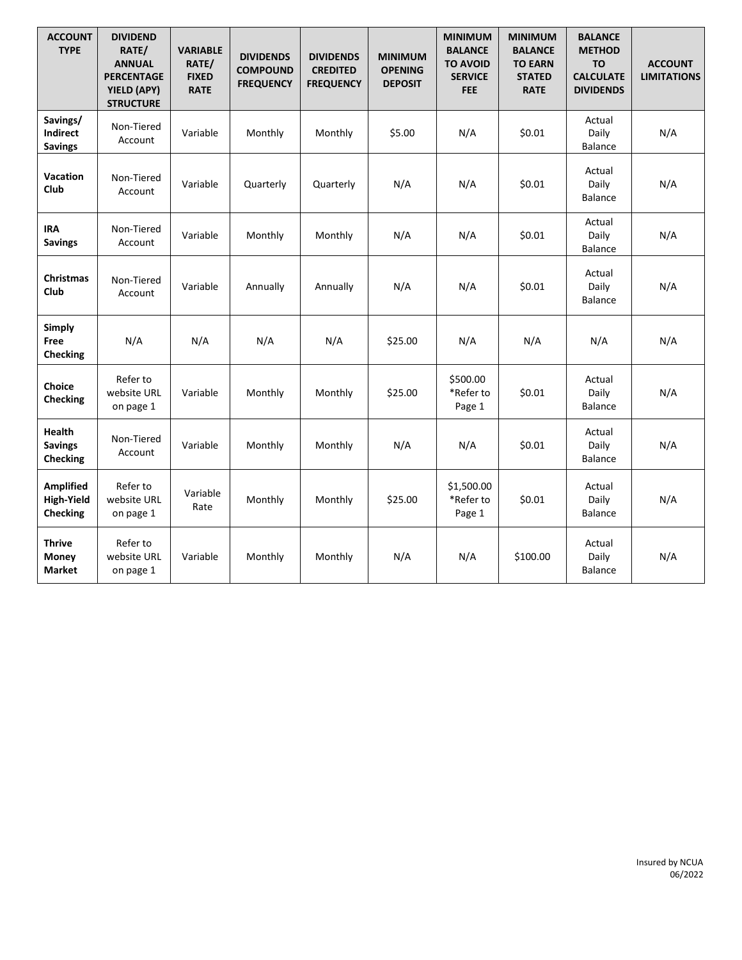| <b>ACCOUNT</b><br><b>TYPE</b>                            | <b>DIVIDEND</b><br>RATE/<br><b>ANNUAL</b><br><b>PERCENTAGE</b><br>YIELD (APY)<br><b>STRUCTURE</b> | <b>VARIABLE</b><br>RATE/<br><b>FIXED</b><br><b>RATE</b> | <b>DIVIDENDS</b><br><b>COMPOUND</b><br><b>FREQUENCY</b> | <b>DIVIDENDS</b><br><b>CREDITED</b><br><b>FREQUENCY</b> | <b>MINIMUM</b><br><b>OPENING</b><br><b>DEPOSIT</b> | <b>MINIMUM</b><br><b>BALANCE</b><br><b>TO AVOID</b><br><b>SERVICE</b><br><b>FEE</b> | <b>MINIMUM</b><br><b>BALANCE</b><br><b>TO EARN</b><br><b>STATED</b><br><b>RATE</b> | <b>BALANCE</b><br><b>METHOD</b><br><b>TO</b><br><b>CALCULATE</b><br><b>DIVIDENDS</b> | <b>ACCOUNT</b><br><b>LIMITATIONS</b> |
|----------------------------------------------------------|---------------------------------------------------------------------------------------------------|---------------------------------------------------------|---------------------------------------------------------|---------------------------------------------------------|----------------------------------------------------|-------------------------------------------------------------------------------------|------------------------------------------------------------------------------------|--------------------------------------------------------------------------------------|--------------------------------------|
| Savings/<br>Indirect<br><b>Savings</b>                   | Non-Tiered<br>Account                                                                             | Variable                                                | Monthly                                                 | Monthly                                                 | \$5.00                                             | N/A                                                                                 | \$0.01                                                                             | Actual<br>Daily<br><b>Balance</b>                                                    | N/A                                  |
| Vacation<br>Club                                         | Non-Tiered<br>Account                                                                             | Variable                                                | Quarterly                                               | Quarterly                                               | N/A                                                | N/A                                                                                 | \$0.01                                                                             | Actual<br>Daily<br>Balance                                                           | N/A                                  |
| <b>IRA</b><br><b>Savings</b>                             | Non-Tiered<br>Account                                                                             | Variable                                                | Monthly                                                 | Monthly                                                 | N/A                                                | N/A                                                                                 | \$0.01                                                                             | Actual<br>Daily<br><b>Balance</b>                                                    | N/A                                  |
| <b>Christmas</b><br><b>Club</b>                          | Non-Tiered<br>Account                                                                             | Variable                                                | Annually                                                | Annually                                                | N/A                                                | N/A                                                                                 | \$0.01                                                                             | Actual<br>Daily<br>Balance                                                           | N/A                                  |
| <b>Simply</b><br>Free<br><b>Checking</b>                 | N/A                                                                                               | N/A                                                     | N/A                                                     | N/A                                                     | \$25.00                                            | N/A                                                                                 | N/A                                                                                | N/A                                                                                  | N/A                                  |
| Choice<br><b>Checking</b>                                | Refer to<br>website URL<br>on page 1                                                              | Variable                                                | Monthly                                                 | Monthly                                                 | \$25.00                                            | \$500.00<br>*Refer to<br>Page 1                                                     | \$0.01                                                                             | Actual<br>Daily<br><b>Balance</b>                                                    | N/A                                  |
| <b>Health</b><br><b>Savings</b><br>Checking              | Non-Tiered<br>Account                                                                             | Variable                                                | Monthly                                                 | Monthly                                                 | N/A                                                | N/A                                                                                 | \$0.01                                                                             | Actual<br>Daily<br><b>Balance</b>                                                    | N/A                                  |
| <b>Amplified</b><br><b>High-Yield</b><br><b>Checking</b> | Refer to<br>website URL<br>on page 1                                                              | Variable<br>Rate                                        | Monthly                                                 | Monthly                                                 | \$25.00                                            | \$1,500.00<br>*Refer to<br>Page 1                                                   | \$0.01                                                                             | Actual<br>Daily<br><b>Balance</b>                                                    | N/A                                  |
| <b>Thrive</b><br>Money<br><b>Market</b>                  | Refer to<br>website URL<br>on page 1                                                              | Variable                                                | Monthly                                                 | Monthly                                                 | N/A                                                | N/A                                                                                 | \$100.00                                                                           | Actual<br>Daily<br><b>Balance</b>                                                    | N/A                                  |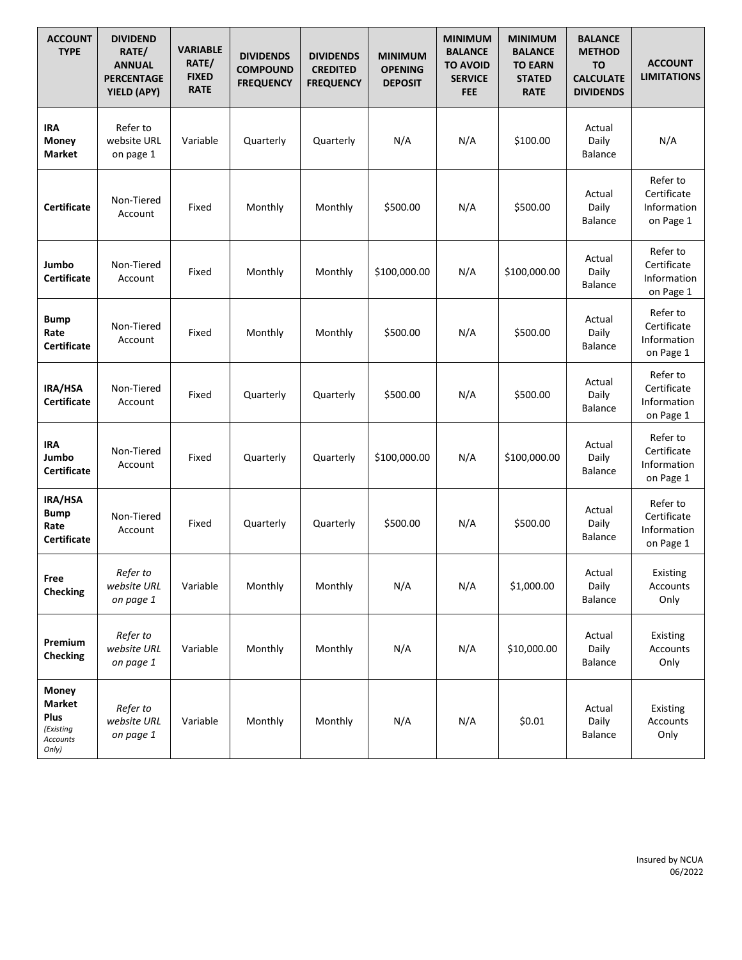| <b>ACCOUNT</b><br><b>TYPE</b>                                    | <b>DIVIDEND</b><br>RATE/<br><b>ANNUAL</b><br><b>PERCENTAGE</b><br>YIELD (APY) | <b>VARIABLE</b><br>RATE/<br><b>FIXED</b><br><b>RATE</b> | <b>DIVIDENDS</b><br><b>COMPOUND</b><br><b>FREQUENCY</b> | <b>DIVIDENDS</b><br><b>CREDITED</b><br><b>FREQUENCY</b> | <b>MINIMUM</b><br><b>OPENING</b><br><b>DEPOSIT</b> | <b>MINIMUM</b><br><b>BALANCE</b><br><b>TO AVOID</b><br><b>SERVICE</b><br><b>FEE</b> | <b>MINIMUM</b><br><b>BALANCE</b><br><b>TO EARN</b><br><b>STATED</b><br><b>RATE</b> | <b>BALANCE</b><br><b>METHOD</b><br><b>TO</b><br><b>CALCULATE</b><br><b>DIVIDENDS</b> | <b>ACCOUNT</b><br><b>LIMITATIONS</b>                |
|------------------------------------------------------------------|-------------------------------------------------------------------------------|---------------------------------------------------------|---------------------------------------------------------|---------------------------------------------------------|----------------------------------------------------|-------------------------------------------------------------------------------------|------------------------------------------------------------------------------------|--------------------------------------------------------------------------------------|-----------------------------------------------------|
| IRA<br>Money<br>Market                                           | Refer to<br>website URL<br>on page 1                                          | Variable                                                | Quarterly                                               | Quarterly                                               | N/A                                                | N/A                                                                                 | \$100.00                                                                           | Actual<br>Daily<br><b>Balance</b>                                                    | N/A                                                 |
| <b>Certificate</b>                                               | Non-Tiered<br>Account                                                         | Fixed                                                   | Monthly                                                 | Monthly                                                 | \$500.00                                           | N/A                                                                                 | \$500.00                                                                           | Actual<br>Daily<br>Balance                                                           | Refer to<br>Certificate<br>Information<br>on Page 1 |
| Jumbo<br><b>Certificate</b>                                      | Non-Tiered<br>Account                                                         | Fixed                                                   | Monthly                                                 | Monthly                                                 | \$100,000.00                                       | N/A                                                                                 | \$100,000.00                                                                       | Actual<br>Daily<br><b>Balance</b>                                                    | Refer to<br>Certificate<br>Information<br>on Page 1 |
| <b>Bump</b><br>Rate<br><b>Certificate</b>                        | Non-Tiered<br>Account                                                         | Fixed                                                   | Monthly                                                 | Monthly                                                 | \$500.00                                           | N/A                                                                                 | \$500.00                                                                           | Actual<br>Daily<br><b>Balance</b>                                                    | Refer to<br>Certificate<br>Information<br>on Page 1 |
| IRA/HSA<br><b>Certificate</b>                                    | Non-Tiered<br>Account                                                         | Fixed                                                   | Quarterly                                               | Quarterly                                               | \$500.00                                           | N/A                                                                                 | \$500.00                                                                           | Actual<br>Daily<br><b>Balance</b>                                                    | Refer to<br>Certificate<br>Information<br>on Page 1 |
| <b>IRA</b><br>Jumbo<br><b>Certificate</b>                        | Non-Tiered<br>Account                                                         | Fixed                                                   | Quarterly                                               | Quarterly                                               | \$100,000.00                                       | N/A                                                                                 | \$100,000.00                                                                       | Actual<br>Daily<br><b>Balance</b>                                                    | Refer to<br>Certificate<br>Information<br>on Page 1 |
| IRA/HSA<br><b>Bump</b><br>Rate<br><b>Certificate</b>             | Non-Tiered<br>Account                                                         | Fixed                                                   | Quarterly                                               | Quarterly                                               | \$500.00                                           | N/A                                                                                 | \$500.00                                                                           | Actual<br>Daily<br><b>Balance</b>                                                    | Refer to<br>Certificate<br>Information<br>on Page 1 |
| Free<br><b>Checking</b>                                          | Refer to<br>website URL<br>on page 1                                          | Variable                                                | Monthly                                                 | Monthly                                                 | N/A                                                | N/A                                                                                 | \$1,000.00                                                                         | Actual<br>Daily<br><b>Balance</b>                                                    | Existing<br>Accounts<br>Only                        |
| Premium<br><b>Checking</b>                                       | Refer to<br>website URL<br>on page 1                                          | Variable                                                | Monthly                                                 | Monthly                                                 | N/A                                                | N/A                                                                                 | \$10,000.00                                                                        | Actual<br>Daily<br><b>Balance</b>                                                    | Existing<br>Accounts<br>Only                        |
| Money<br><b>Market</b><br>Plus<br>(Existing<br>Accounts<br>Only) | Refer to<br>website URL<br>on page 1                                          | Variable                                                | Monthly                                                 | Monthly                                                 | N/A                                                | N/A                                                                                 | \$0.01                                                                             | Actual<br>Daily<br>Balance                                                           | Existing<br>Accounts<br>Only                        |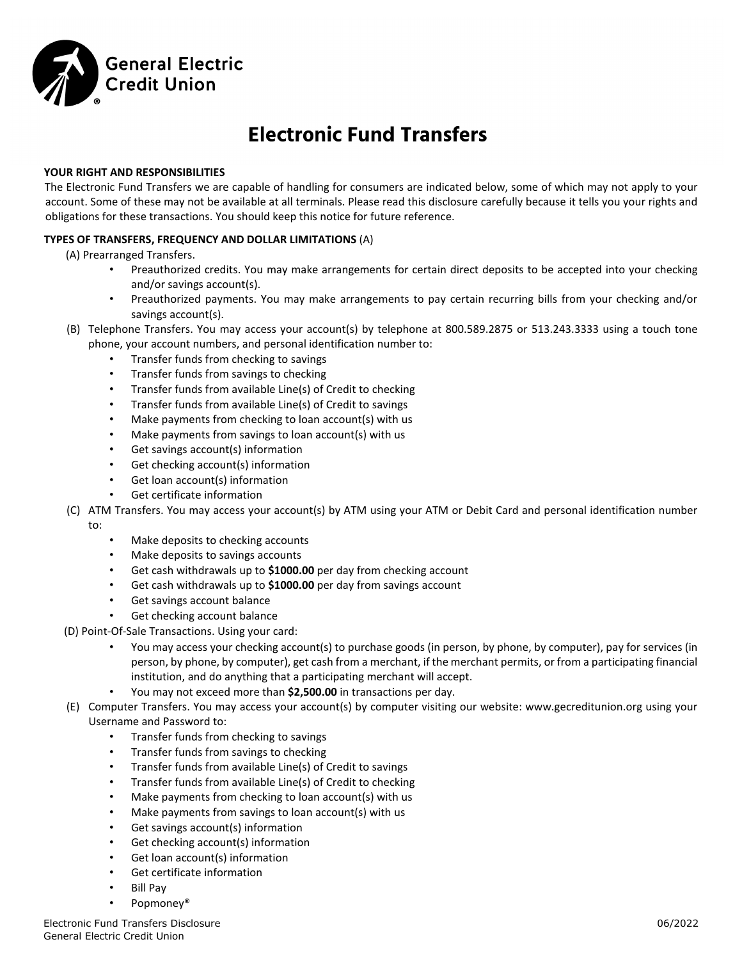

# **Electronic Fund Transfers**

#### **YOUR RIGHT AND RESPONSIBILITIES**

The Electronic Fund Transfers we are capable of handling for consumers are indicated below, some of which may not apply to your account. Some of these may not be available at all terminals. Please read this disclosure carefully because it tells you your rights and obligations for these transactions. You should keep this notice for future reference.

#### **TYPES OF TRANSFERS, FREQUENCY AND DOLLAR LIMITATIONS** (A)

(A) Prearranged Transfers.

- Preauthorized credits. You may make arrangements for certain direct deposits to be accepted into your checking and/or savings account(s).
- Preauthorized payments. You may make arrangements to pay certain recurring bills from your checking and/or savings account(s).
- (B) Telephone Transfers. You may access your account(s) by telephone at 800.589.2875 or 513.243.3333 using a touch tone phone, your account numbers, and personal identification number to:
	- Transfer funds from checking to savings
	- Transfer funds from savings to checking
	- Transfer funds from available Line(s) of Credit to checking
	- Transfer funds from available Line(s) of Credit to savings
	- Make payments from checking to loan account(s) with us
	- Make payments from savings to loan account(s) with us
	- Get savings account(s) information
	- Get checking account(s) information
	- Get loan account(s) information
	- Get certificate information
- (C) ATM Transfers. You may access your account(s) by ATM using your ATM or Debit Card and personal identification number to:
	- Make deposits to checking accounts
	- Make deposits to savings accounts
	- Get cash withdrawals up to **\$1000.00** per day from checking account
	- Get cash withdrawals up to **\$1000.00** per day from savings account
	- Get savings account balance
	- Get checking account balance
- (D) Point‐Of‐Sale Transactions. Using your card:
	- You may access your checking account(s) to purchase goods (in person, by phone, by computer), pay for services (in person, by phone, by computer), get cash from a merchant, if the merchant permits, or from a participating financial institution, and do anything that a participating merchant will accept.
	- You may not exceed more than **\$2,500.00** in transactions per day.
- (E) Computer Transfers. You may access your account(s) by computer visiting our website: www.gecreditunion.org using your Username and Password to:
	- Transfer funds from checking to savings
	- Transfer funds from savings to checking
	- Transfer funds from available Line(s) of Credit to savings
	- Transfer funds from available Line(s) of Credit to checking
	- Make payments from checking to loan account(s) with us
	- Make payments from savings to loan account(s) with us
	- Get savings account(s) information
	- Get checking account(s) information
	- Get loan account(s) information
	- Get certificate information
	- Bill Pay
	- Popmoney®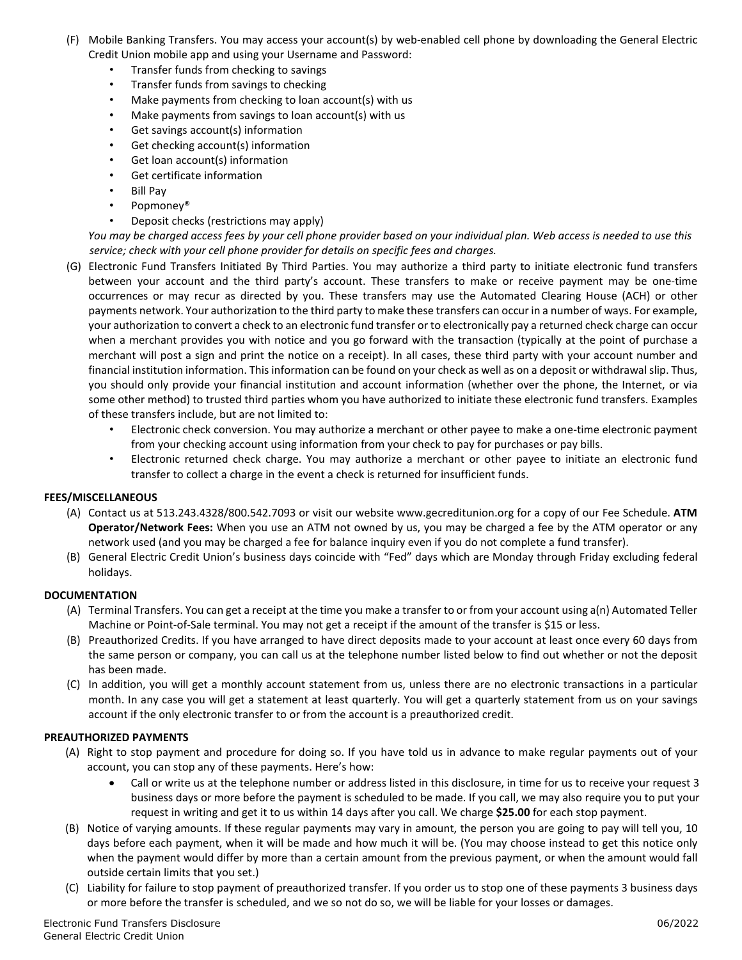- (F) Mobile Banking Transfers. You may access your account(s) by web‐enabled cell phone by downloading the General Electric Credit Union mobile app and using your Username and Password:
	- Transfer funds from checking to savings
	- Transfer funds from savings to checking
	- Make payments from checking to loan account(s) with us
	- Make payments from savings to loan account(s) with us
	- Get savings account(s) information
	- Get checking account(s) information
	- Get loan account(s) information
	- Get certificate information
	- Bill Pay
	- Popmoney®
	- Deposit checks (restrictions may apply)

*You may be charged access fees by your cell phone provider based on your individual plan. Web access is needed to use this service; check with your cell phone provider for details on specific fees and charges.* 

- (G) Electronic Fund Transfers Initiated By Third Parties. You may authorize a third party to initiate electronic fund transfers between your account and the third party's account. These transfers to make or receive payment may be one‐time occurrences or may recur as directed by you. These transfers may use the Automated Clearing House (ACH) or other payments network. Your authorization to the third party to make these transfers can occur in a number of ways. For example, your authorization to convert a check to an electronic fund transfer or to electronically pay a returned check charge can occur when a merchant provides you with notice and you go forward with the transaction (typically at the point of purchase a merchant will post a sign and print the notice on a receipt). In all cases, these third party with your account number and financial institution information. This information can be found on your check as well as on a deposit or withdrawal slip. Thus, you should only provide your financial institution and account information (whether over the phone, the Internet, or via some other method) to trusted third parties whom you have authorized to initiate these electronic fund transfers. Examples of these transfers include, but are not limited to:
	- Electronic check conversion. You may authorize a merchant or other payee to make a one‐time electronic payment from your checking account using information from your check to pay for purchases or pay bills.
	- Electronic returned check charge. You may authorize a merchant or other payee to initiate an electronic fund transfer to collect a charge in the event a check is returned for insufficient funds.

#### **FEES/MISCELLANEOUS**

- (A) Contact us at 513.243.4328/800.542.7093 or visit our website www.gecreditunion.org for a copy of our Fee Schedule. **ATM Operator/Network Fees:** When you use an ATM not owned by us, you may be charged a fee by the ATM operator or any network used (and you may be charged a fee for balance inquiry even if you do not complete a fund transfer).
- (B) General Electric Credit Union's business days coincide with "Fed" days which are Monday through Friday excluding federal holidays.

#### **DOCUMENTATION**

- (A) Terminal Transfers. You can get a receipt at the time you make a transfer to or from your account using a(n) Automated Teller Machine or Point‐of‐Sale terminal. You may not get a receipt if the amount of the transfer is \$15 or less.
- (B) Preauthorized Credits. If you have arranged to have direct deposits made to your account at least once every 60 days from the same person or company, you can call us at the telephone number listed below to find out whether or not the deposit has been made.
- (C) In addition, you will get a monthly account statement from us, unless there are no electronic transactions in a particular month. In any case you will get a statement at least quarterly. You will get a quarterly statement from us on your savings account if the only electronic transfer to or from the account is a preauthorized credit.

#### **PREAUTHORIZED PAYMENTS**

- (A) Right to stop payment and procedure for doing so. If you have told us in advance to make regular payments out of your account, you can stop any of these payments. Here's how:
	- Call or write us at the telephone number or address listed in this disclosure, in time for us to receive your request 3 business days or more before the payment is scheduled to be made. If you call, we may also require you to put your request in writing and get it to us within 14 days after you call. We charge **\$25.00** for each stop payment.
- (B) Notice of varying amounts. If these regular payments may vary in amount, the person you are going to pay will tell you, 10 days before each payment, when it will be made and how much it will be. (You may choose instead to get this notice only when the payment would differ by more than a certain amount from the previous payment, or when the amount would fall outside certain limits that you set.)
- (C) Liability for failure to stop payment of preauthorized transfer. If you order us to stop one of these payments 3 business days or more before the transfer is scheduled, and we so not do so, we will be liable for your losses or damages.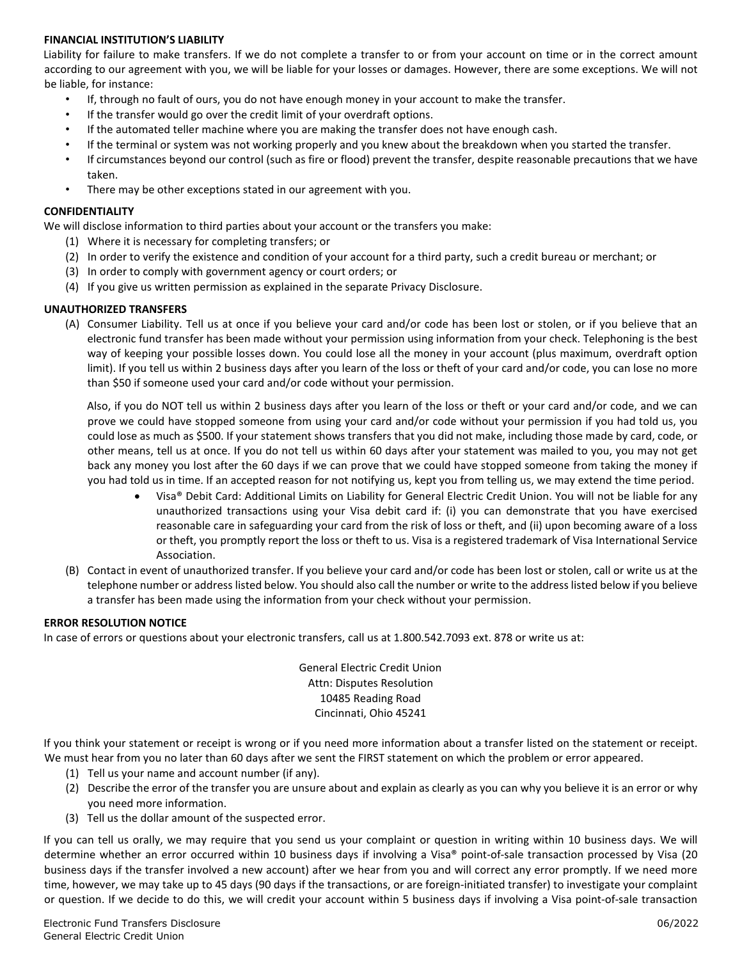#### **FINANCIAL INSTITUTION'S LIABILITY**

Liability for failure to make transfers. If we do not complete a transfer to or from your account on time or in the correct amount according to our agreement with you, we will be liable for your losses or damages. However, there are some exceptions. We will not be liable, for instance:

- If, through no fault of ours, you do not have enough money in your account to make the transfer.
- If the transfer would go over the credit limit of your overdraft options.
- If the automated teller machine where you are making the transfer does not have enough cash.
- If the terminal or system was not working properly and you knew about the breakdown when you started the transfer.
- If circumstances beyond our control (such as fire or flood) prevent the transfer, despite reasonable precautions that we have taken.
- There may be other exceptions stated in our agreement with you.

#### **CONFIDENTIALITY**

We will disclose information to third parties about your account or the transfers you make:

- (1) Where it is necessary for completing transfers; or
- (2) In order to verify the existence and condition of your account for a third party, such a credit bureau or merchant; or
- (3) In order to comply with government agency or court orders; or
- (4) If you give us written permission as explained in the separate Privacy Disclosure.

#### **UNAUTHORIZED TRANSFERS**

(A) Consumer Liability. Tell us at once if you believe your card and/or code has been lost or stolen, or if you believe that an electronic fund transfer has been made without your permission using information from your check. Telephoning is the best way of keeping your possible losses down. You could lose all the money in your account (plus maximum, overdraft option limit). If you tell us within 2 business days after you learn of the loss or theft of your card and/or code, you can lose no more than \$50 if someone used your card and/or code without your permission.

Also, if you do NOT tell us within 2 business days after you learn of the loss or theft or your card and/or code, and we can prove we could have stopped someone from using your card and/or code without your permission if you had told us, you could lose as much as \$500. If your statement shows transfers that you did not make, including those made by card, code, or other means, tell us at once. If you do not tell us within 60 days after your statement was mailed to you, you may not get back any money you lost after the 60 days if we can prove that we could have stopped someone from taking the money if you had told us in time. If an accepted reason for not notifying us, kept you from telling us, we may extend the time period.

- Visa® Debit Card: Additional Limits on Liability for General Electric Credit Union. You will not be liable for any unauthorized transactions using your Visa debit card if: (i) you can demonstrate that you have exercised reasonable care in safeguarding your card from the risk of loss or theft, and (ii) upon becoming aware of a loss or theft, you promptly report the loss or theft to us. Visa is a registered trademark of Visa International Service Association.
- (B) Contact in event of unauthorized transfer. If you believe your card and/or code has been lost or stolen, call or write us at the telephone number or address listed below. You should also call the number or write to the address listed below if you believe a transfer has been made using the information from your check without your permission.

#### **ERROR RESOLUTION NOTICE**

In case of errors or questions about your electronic transfers, call us at 1.800.542.7093 ext. 878 or write us at:

General Electric Credit Union Attn: Disputes Resolution 10485 Reading Road Cincinnati, Ohio 45241

If you think your statement or receipt is wrong or if you need more information about a transfer listed on the statement or receipt. We must hear from you no later than 60 days after we sent the FIRST statement on which the problem or error appeared.

- (1) Tell us your name and account number (if any).
- (2) Describe the error of the transfer you are unsure about and explain as clearly as you can why you believe it is an error or why you need more information.
- (3) Tell us the dollar amount of the suspected error.

If you can tell us orally, we may require that you send us your complaint or question in writing within 10 business days. We will determine whether an error occurred within 10 business days if involving a Visa® point-of-sale transaction processed by Visa (20 business days if the transfer involved a new account) after we hear from you and will correct any error promptly. If we need more time, however, we may take up to 45 days (90 days if the transactions, or are foreign-initiated transfer) to investigate your complaint or question. If we decide to do this, we will credit your account within 5 business days if involving a Visa point‐of‐sale transaction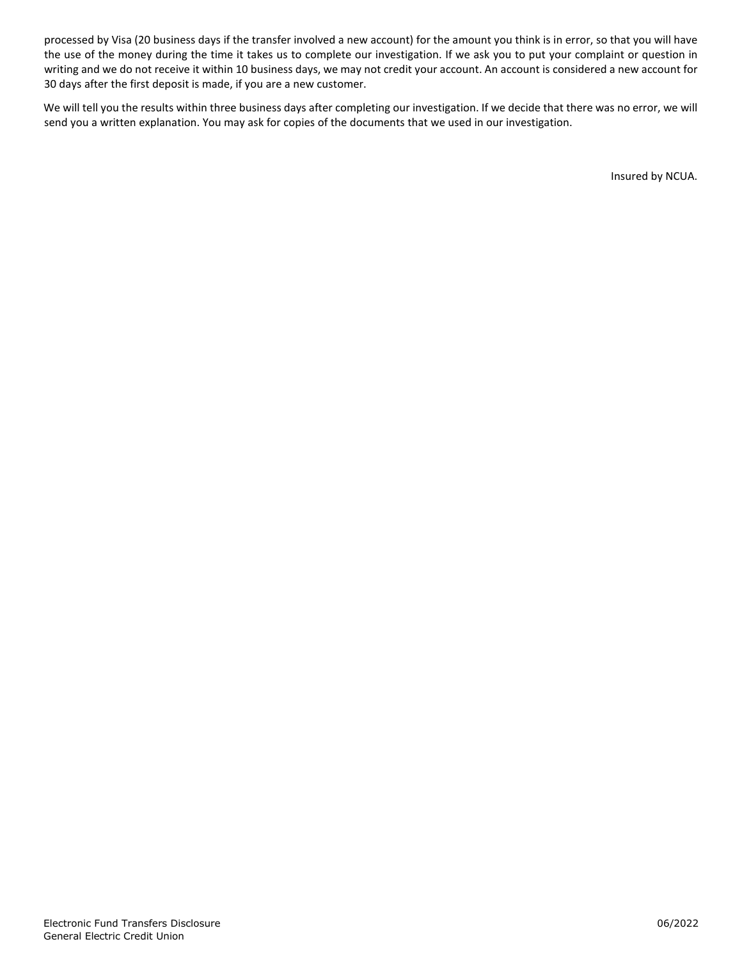processed by Visa (20 business days if the transfer involved a new account) for the amount you think is in error, so that you will have the use of the money during the time it takes us to complete our investigation. If we ask you to put your complaint or question in writing and we do not receive it within 10 business days, we may not credit your account. An account is considered a new account for 30 days after the first deposit is made, if you are a new customer.

We will tell you the results within three business days after completing our investigation. If we decide that there was no error, we will send you a written explanation. You may ask for copies of the documents that we used in our investigation.

Insured by NCUA.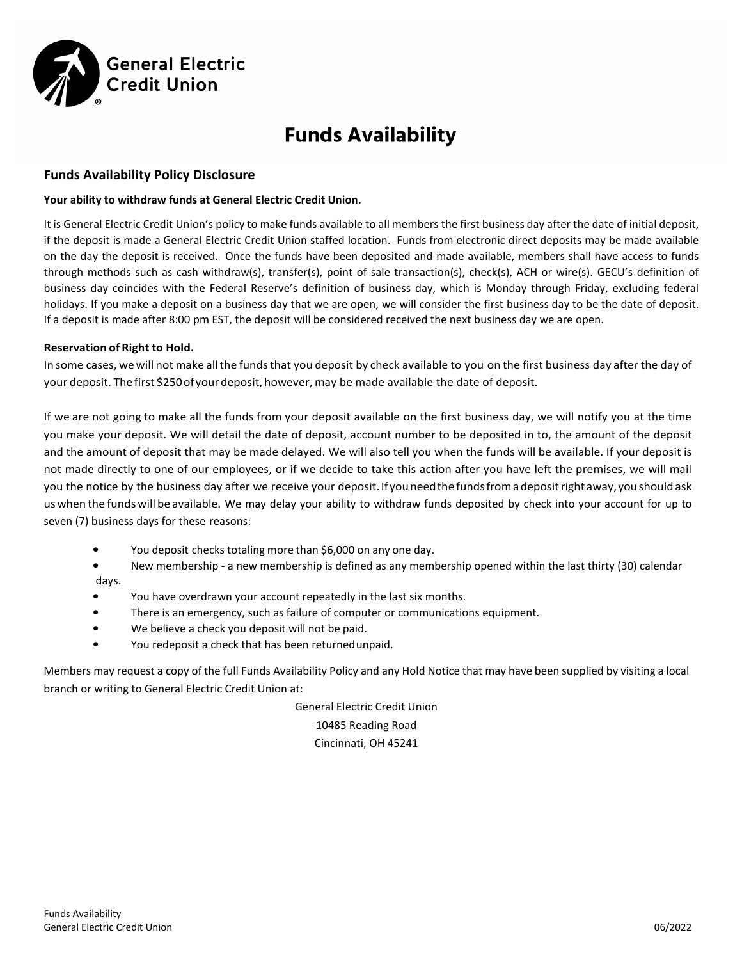

# **Funds Availability**

#### **Funds Availability Policy Disclosure**

#### **Your ability to withdraw funds at General Electric Credit Union.**

It is General Electric Credit Union's policy to make funds available to all members the first business day after the date of initial deposit, if the deposit is made a General Electric Credit Union staffed location. Funds from electronic direct deposits may be made available on the day the deposit is received. Once the funds have been deposited and made available, members shall have access to funds through methods such as cash withdraw(s), transfer(s), point of sale transaction(s), check(s), ACH or wire(s). GECU's definition of business day coincides with the Federal Reserve's definition of business day, which is Monday through Friday, excluding federal holidays. If you make a deposit on a business day that we are open, we will consider the first business day to be the date of deposit. If a deposit is made after 8:00 pm EST, the deposit will be considered received the next business day we are open.

#### **Reservation of Right to Hold.**

In some cases, we will not make all the funds that you deposit by check available to you on the first business day after the day of your deposit. Thefirst \$250ofyour deposit, however, may be made available the date of deposit.

If we are not going to make all the funds from your deposit available on the first business day, we will notify you at the time you make your deposit. We will detail the date of deposit, account number to be deposited in to, the amount of the deposit and the amount of deposit that may be made delayed. We will also tell you when the funds will be available. If your deposit is not made directly to one of our employees, or if we decide to take this action after you have left the premises, we will mail you the notice by the business day after we receive your deposit. If you need the funds from a deposit right away, you should ask uswhen the funds will be available. We may delay your ability to withdraw funds deposited by check into your account for up to seven (7) business days for these reasons:

- You deposit checks totaling more than \$6,000 on any one day.
- New membership a new membership is defined as any membership opened within the last thirty (30) calendar days.
- You have overdrawn your account repeatedly in the last six months.
- There is an emergency, such as failure of computer or communications equipment.
- We believe a check you deposit will not be paid.
- You redeposit a check that has been returnedunpaid.

Members may request a copy of the full Funds Availability Policy and any Hold Notice that may have been supplied by visiting a local branch or writing to General Electric Credit Union at:

> General Electric Credit Union 10485 Reading Road Cincinnati, OH 45241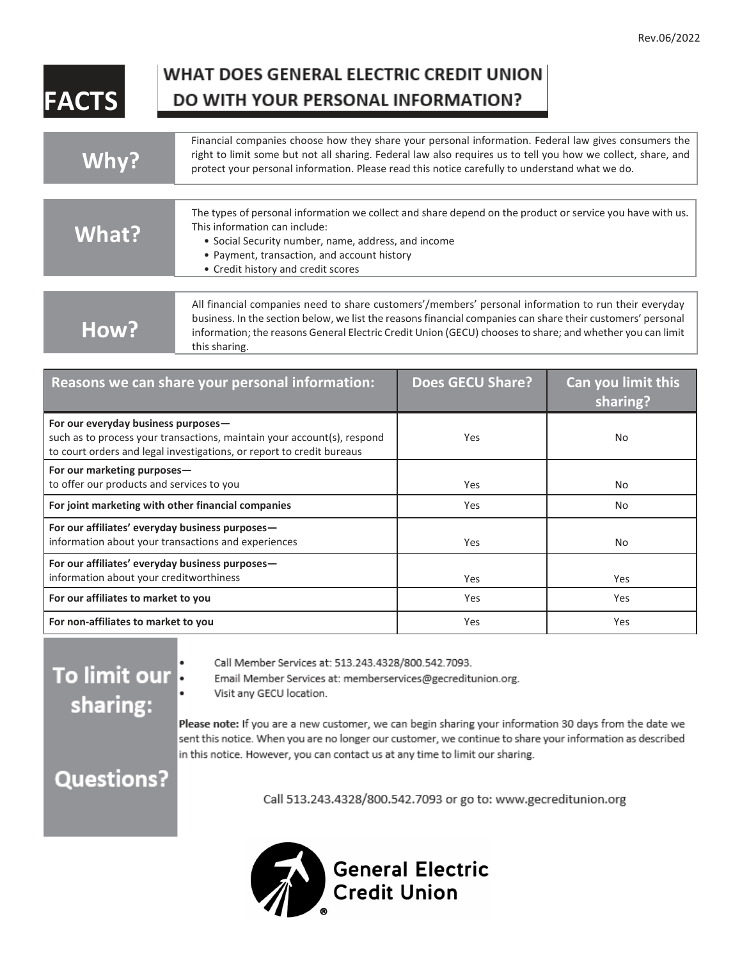# **FACTS**

## WHAT DOES GENERAL ELECTRIC CREDIT UNION DO WITH YOUR PERSONAL INFORMATION?

| Why?  | Financial companies choose how they share your personal information. Federal law gives consumers the<br>right to limit some but not all sharing. Federal law also requires us to tell you how we collect, share, and<br>protect your personal information. Please read this notice carefully to understand what we do.           |
|-------|----------------------------------------------------------------------------------------------------------------------------------------------------------------------------------------------------------------------------------------------------------------------------------------------------------------------------------|
|       |                                                                                                                                                                                                                                                                                                                                  |
| What? | The types of personal information we collect and share depend on the product or service you have with us.<br>This information can include:<br>• Social Security number, name, address, and income<br>• Payment, transaction, and account history<br>• Credit history and credit scores                                           |
|       |                                                                                                                                                                                                                                                                                                                                  |
| How?  | All financial companies need to share customers'/members' personal information to run their everyday<br>business. In the section below, we list the reasons financial companies can share their customers' personal<br>information; the reasons General Electric Credit Union (GECU) chooses to share; and whether you can limit |

|  |  |  | <b></b>       |  |  |
|--|--|--|---------------|--|--|
|  |  |  | this sharing. |  |  |

| Reasons we can share your personal information:                                                                                                                                         | <b>Does GECU Share?</b> | Can you limit this<br>sharing? |
|-----------------------------------------------------------------------------------------------------------------------------------------------------------------------------------------|-------------------------|--------------------------------|
| For our everyday business purposes-<br>such as to process your transactions, maintain your account(s), respond<br>to court orders and legal investigations, or report to credit bureaus | Yes                     | No                             |
| For our marketing purposes-<br>to offer our products and services to you                                                                                                                | Yes                     | No                             |
| For joint marketing with other financial companies                                                                                                                                      | Yes                     | <b>No</b>                      |
| For our affiliates' everyday business purposes-<br>information about your transactions and experiences                                                                                  | Yes                     | No                             |
| For our affiliates' everyday business purposes-<br>information about your creditworthiness                                                                                              | Yes                     | Yes                            |
| For our affiliates to market to you                                                                                                                                                     | Yes                     | Yes                            |
| For non-affiliates to market to you                                                                                                                                                     | Yes                     | Yes                            |

# To limit our sharing:

Call Member Services at: 513.243.4328/800.542.7093.

Email Member Services at: memberservices@gecreditunion.org.

Visit any GECU location.

Please note: If you are a new customer, we can begin sharing your information 30 days from the date we sent this notice. When you are no longer our customer, we continue to share your information as described in this notice. However, you can contact us at any time to limit our sharing.

# **Questions?**

Call 513.243.4328/800.542.7093 or go to: www.gecreditunion.org

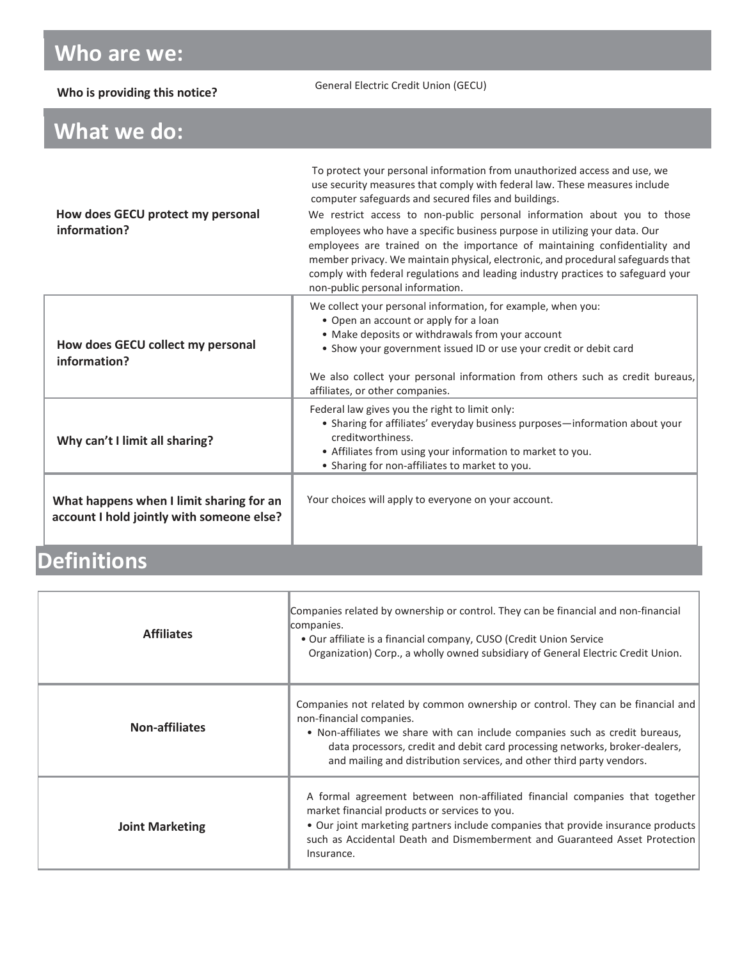# **Who are we:**

| Who is providing this notice?                                                         | General Electric Credit Union (GECU)                                                                                                                                                                                                                                                                                                                                                                                                                                                                                                                                                                                                                                |
|---------------------------------------------------------------------------------------|---------------------------------------------------------------------------------------------------------------------------------------------------------------------------------------------------------------------------------------------------------------------------------------------------------------------------------------------------------------------------------------------------------------------------------------------------------------------------------------------------------------------------------------------------------------------------------------------------------------------------------------------------------------------|
| What we do:                                                                           |                                                                                                                                                                                                                                                                                                                                                                                                                                                                                                                                                                                                                                                                     |
| How does GECU protect my personal<br>information?                                     | To protect your personal information from unauthorized access and use, we<br>use security measures that comply with federal law. These measures include<br>computer safeguards and secured files and buildings.<br>We restrict access to non-public personal information about you to those<br>employees who have a specific business purpose in utilizing your data. Our<br>employees are trained on the importance of maintaining confidentiality and<br>member privacy. We maintain physical, electronic, and procedural safeguards that<br>comply with federal regulations and leading industry practices to safeguard your<br>non-public personal information. |
| How does GECU collect my personal<br>information?                                     | We collect your personal information, for example, when you:<br>• Open an account or apply for a loan<br>• Make deposits or withdrawals from your account<br>• Show your government issued ID or use your credit or debit card<br>We also collect your personal information from others such as credit bureaus,<br>affiliates, or other companies.                                                                                                                                                                                                                                                                                                                  |
| Why can't I limit all sharing?                                                        | Federal law gives you the right to limit only:<br>• Sharing for affiliates' everyday business purposes-information about your<br>creditworthiness.<br>• Affiliates from using your information to market to you.<br>• Sharing for non-affiliates to market to you.                                                                                                                                                                                                                                                                                                                                                                                                  |
| What happens when I limit sharing for an<br>account I hold jointly with someone else? | Your choices will apply to everyone on your account.                                                                                                                                                                                                                                                                                                                                                                                                                                                                                                                                                                                                                |

# **Definitions**

| <b>Affiliates</b>      | Companies related by ownership or control. They can be financial and non-financial<br>companies.<br>• Our affiliate is a financial company, CUSO (Credit Union Service<br>Organization) Corp., a wholly owned subsidiary of General Electric Credit Union.                                                                                          |
|------------------------|-----------------------------------------------------------------------------------------------------------------------------------------------------------------------------------------------------------------------------------------------------------------------------------------------------------------------------------------------------|
| <b>Non-affiliates</b>  | Companies not related by common ownership or control. They can be financial and<br>non-financial companies.<br>• Non-affiliates we share with can include companies such as credit bureaus,<br>data processors, credit and debit card processing networks, broker-dealers,<br>and mailing and distribution services, and other third party vendors. |
| <b>Joint Marketing</b> | A formal agreement between non-affiliated financial companies that together<br>market financial products or services to you.<br>. Our joint marketing partners include companies that provide insurance products<br>such as Accidental Death and Dismemberment and Guaranteed Asset Protection<br>Insurance.                                        |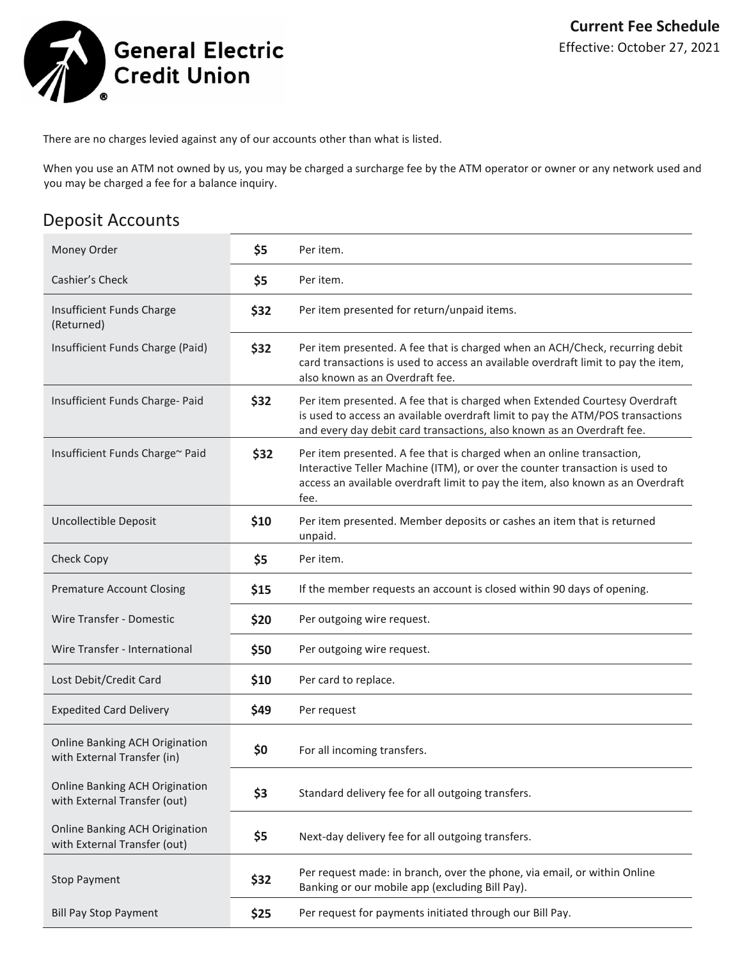

There are no charges levied against any of our accounts other than what is listed.

When you use an ATM not owned by us, you may be charged a surcharge fee by the ATM operator or owner or any network used and you may be charged a fee for a balance inquiry.

### Deposit Accounts

| Money Order                                                    | \$5  | Per item.                                                                                                                                                                                                                                        |
|----------------------------------------------------------------|------|--------------------------------------------------------------------------------------------------------------------------------------------------------------------------------------------------------------------------------------------------|
| Cashier's Check                                                | \$5  | Per item.                                                                                                                                                                                                                                        |
| Insufficient Funds Charge<br>(Returned)                        | \$32 | Per item presented for return/unpaid items.                                                                                                                                                                                                      |
| Insufficient Funds Charge (Paid)                               | \$32 | Per item presented. A fee that is charged when an ACH/Check, recurring debit<br>card transactions is used to access an available overdraft limit to pay the item,<br>also known as an Overdraft fee.                                             |
| Insufficient Funds Charge- Paid                                | \$32 | Per item presented. A fee that is charged when Extended Courtesy Overdraft<br>is used to access an available overdraft limit to pay the ATM/POS transactions<br>and every day debit card transactions, also known as an Overdraft fee.           |
| Insufficient Funds Charge~ Paid                                | \$32 | Per item presented. A fee that is charged when an online transaction,<br>Interactive Teller Machine (ITM), or over the counter transaction is used to<br>access an available overdraft limit to pay the item, also known as an Overdraft<br>fee. |
| <b>Uncollectible Deposit</b>                                   | \$10 | Per item presented. Member deposits or cashes an item that is returned<br>unpaid.                                                                                                                                                                |
| <b>Check Copy</b>                                              | \$5  | Per item.                                                                                                                                                                                                                                        |
| <b>Premature Account Closing</b>                               | \$15 | If the member requests an account is closed within 90 days of opening.                                                                                                                                                                           |
| Wire Transfer - Domestic                                       | \$20 | Per outgoing wire request.                                                                                                                                                                                                                       |
| Wire Transfer - International                                  | \$50 | Per outgoing wire request.                                                                                                                                                                                                                       |
| Lost Debit/Credit Card                                         | \$10 | Per card to replace.                                                                                                                                                                                                                             |
| <b>Expedited Card Delivery</b>                                 | \$49 | Per request                                                                                                                                                                                                                                      |
| Online Banking ACH Origination<br>with External Transfer (in)  | \$0  | For all incoming transfers.                                                                                                                                                                                                                      |
| Online Banking ACH Origination<br>with External Transfer (out) | \$3  | Standard delivery fee for all outgoing transfers.                                                                                                                                                                                                |
| Online Banking ACH Origination<br>with External Transfer (out) | \$5  | Next-day delivery fee for all outgoing transfers.                                                                                                                                                                                                |
| <b>Stop Payment</b>                                            | \$32 | Per request made: in branch, over the phone, via email, or within Online<br>Banking or our mobile app (excluding Bill Pay).                                                                                                                      |
| <b>Bill Pay Stop Payment</b>                                   | \$25 | Per request for payments initiated through our Bill Pay.                                                                                                                                                                                         |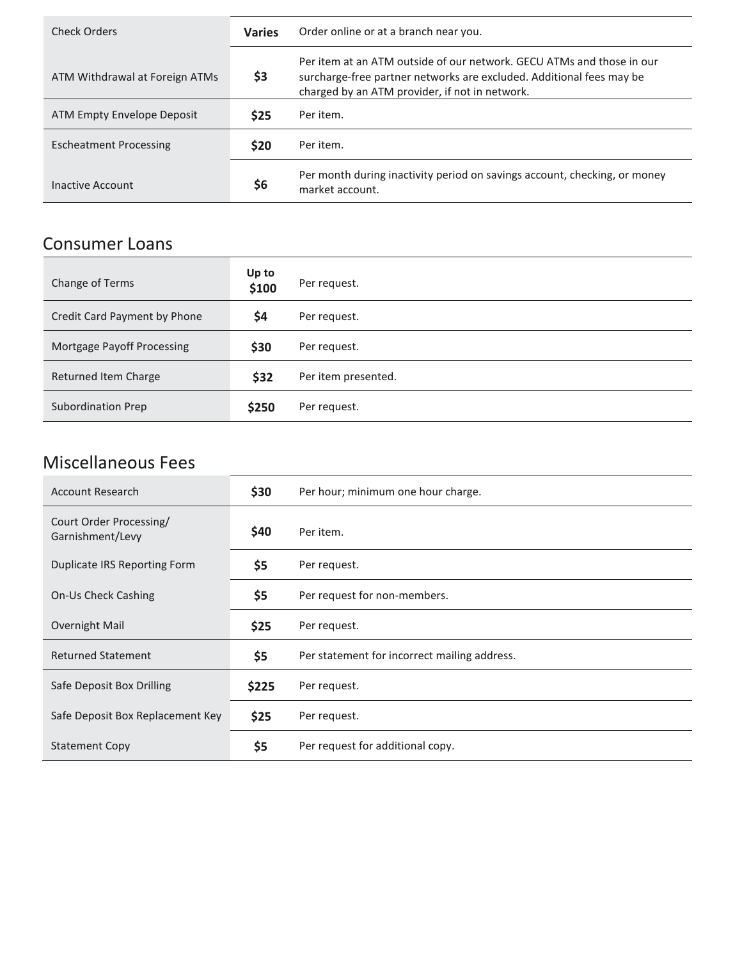| Check Orders                   | <b>Varies</b> | Order online or at a branch near you.                                                                                                                                                           |
|--------------------------------|---------------|-------------------------------------------------------------------------------------------------------------------------------------------------------------------------------------------------|
| ATM Withdrawal at Foreign ATMs | \$3           | Per item at an ATM outside of our network. GECU ATMs and those in our<br>surcharge-free partner networks are excluded. Additional fees may be<br>charged by an ATM provider, if not in network. |
| ATM Empty Envelope Deposit     | <b>S25</b>    | Per item.                                                                                                                                                                                       |
| <b>Escheatment Processing</b>  | <b>S20</b>    | Per item.                                                                                                                                                                                       |
| Inactive Account               | S6            | Per month during inactivity period on savings account, checking, or money<br>market account.                                                                                                    |

### Consumer Loans

| Change of Terms              | Up to<br>\$100 | Per request.        |
|------------------------------|----------------|---------------------|
| Credit Card Payment by Phone | S4             | Per request.        |
| Mortgage Payoff Processing   | \$30           | Per request.        |
| Returned Item Charge         | \$32           | Per item presented. |
| <b>Subordination Prep</b>    | \$250          | Per request.        |

### Miscellaneous Fees

| <b>Account Research</b>                     | \$30  | Per hour; minimum one hour charge.           |
|---------------------------------------------|-------|----------------------------------------------|
| Court Order Processing/<br>Garnishment/Levy | \$40  | Per item.                                    |
| Duplicate IRS Reporting Form                | \$5   | Per request.                                 |
| On-Us Check Cashing                         | \$5   | Per request for non-members.                 |
| Overnight Mail                              | \$25  | Per request.                                 |
| <b>Returned Statement</b>                   | \$5   | Per statement for incorrect mailing address. |
| Safe Deposit Box Drilling                   | \$225 | Per request.                                 |
| Safe Deposit Box Replacement Key            | \$25  | Per request.                                 |
| <b>Statement Copy</b>                       | \$5   | Per request for additional copy.             |